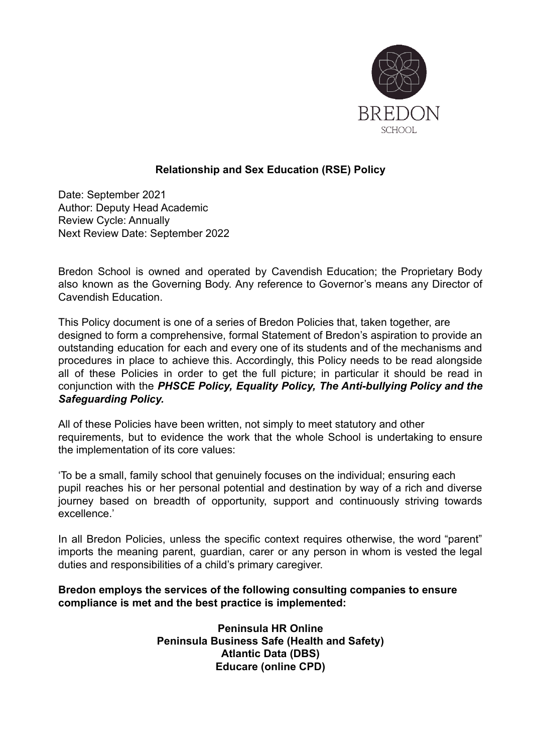

#### **Relationship and Sex Education (RSE) Policy**

Date: September 2021 Author: Deputy Head Academic Review Cycle: Annually Next Review Date: September 2022

Bredon School is owned and operated by Cavendish Education; the Proprietary Body also known as the Governing Body. Any reference to Governor's means any Director of Cavendish Education.

This Policy document is one of a series of Bredon Policies that, taken together, are designed to form a comprehensive, formal Statement of Bredon's aspiration to provide an outstanding education for each and every one of its students and of the mechanisms and procedures in place to achieve this. Accordingly, this Policy needs to be read alongside all of these Policies in order to get the full picture; in particular it should be read in conjunction with the *PHSCE Policy, Equality Policy, The Anti-bullying Policy and the Safeguarding Policy.*

All of these Policies have been written, not simply to meet statutory and other requirements, but to evidence the work that the whole School is undertaking to ensure the implementation of its core values:

'To be a small, family school that genuinely focuses on the individual; ensuring each pupil reaches his or her personal potential and destination by way of a rich and diverse journey based on breadth of opportunity, support and continuously striving towards excellence.'

In all Bredon Policies, unless the specific context requires otherwise, the word "parent" imports the meaning parent, guardian, carer or any person in whom is vested the legal duties and responsibilities of a child's primary caregiver.

#### **Bredon employs the services of the following consulting companies to ensure compliance is met and the best practice is implemented:**

**Peninsula HR Online Peninsula Business Safe (Health and Safety) Atlantic Data (DBS) Educare (online CPD)**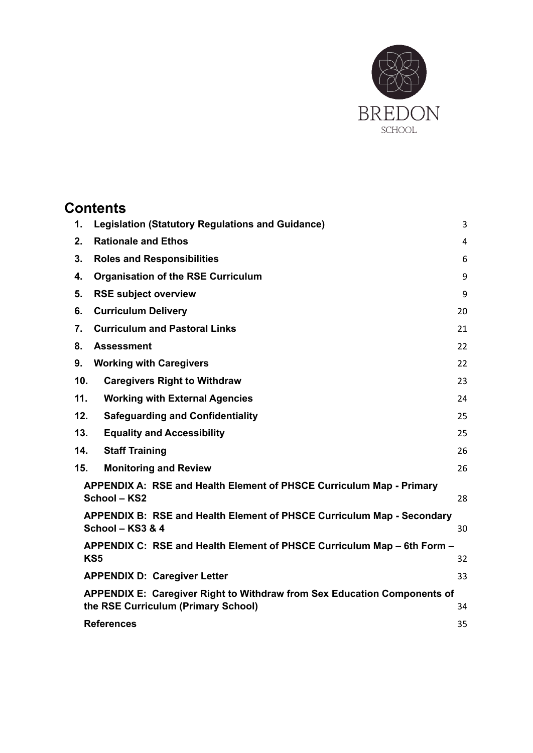

# **Contents**

| 1.  | <b>Legislation (Statutory Regulations and Guidance)</b><br>3                                                    |    |  |
|-----|-----------------------------------------------------------------------------------------------------------------|----|--|
| 2.  | <b>Rationale and Ethos</b><br>$\overline{4}$                                                                    |    |  |
| 3.  | <b>Roles and Responsibilities</b><br>6                                                                          |    |  |
| 4.  | <b>Organisation of the RSE Curriculum</b><br>9                                                                  |    |  |
| 5.  | <b>RSE subject overview</b>                                                                                     | 9  |  |
| 6.  | <b>Curriculum Delivery</b><br>20                                                                                |    |  |
| 7.  | <b>Curriculum and Pastoral Links</b>                                                                            | 21 |  |
| 8.  | <b>Assessment</b>                                                                                               | 22 |  |
| 9.  | <b>Working with Caregivers</b>                                                                                  | 22 |  |
| 10. | <b>Caregivers Right to Withdraw</b>                                                                             | 23 |  |
| 11. | <b>Working with External Agencies</b><br>24                                                                     |    |  |
| 12. | <b>Safeguarding and Confidentiality</b><br>25                                                                   |    |  |
| 13. | <b>Equality and Accessibility</b>                                                                               | 25 |  |
| 14. | <b>Staff Training</b>                                                                                           | 26 |  |
| 15. | <b>Monitoring and Review</b>                                                                                    | 26 |  |
|     | APPENDIX A: RSE and Health Element of PHSCE Curriculum Map - Primary<br>School - KS2                            | 28 |  |
|     | APPENDIX B: RSE and Health Element of PHSCE Curriculum Map - Secondary<br>School - KS3 & 4                      | 30 |  |
|     | APPENDIX C: RSE and Health Element of PHSCE Curriculum Map – 6th Form –                                         |    |  |
|     | KS <sub>5</sub><br>32                                                                                           |    |  |
|     | <b>APPENDIX D: Caregiver Letter</b><br>33                                                                       |    |  |
|     | APPENDIX E: Caregiver Right to Withdraw from Sex Education Components of<br>the RSE Curriculum (Primary School) | 34 |  |
|     | <b>References</b>                                                                                               | 35 |  |
|     |                                                                                                                 |    |  |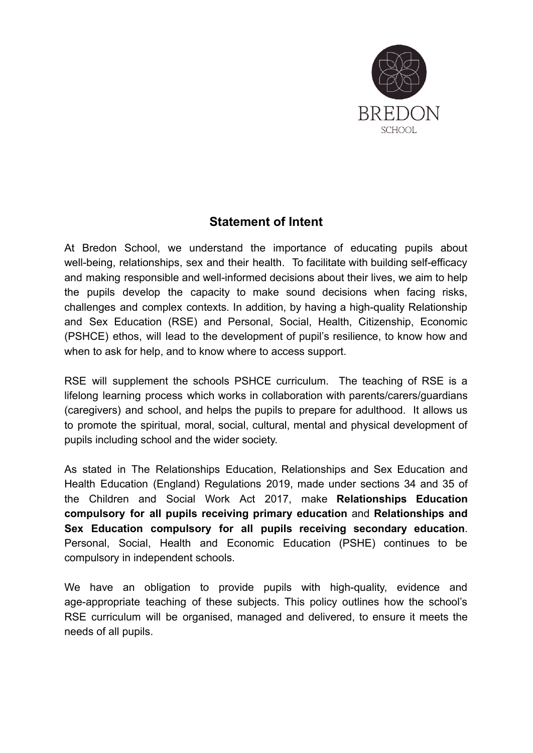

## **Statement of Intent**

At Bredon School, we understand the importance of educating pupils about well-being, relationships, sex and their health. To facilitate with building self-efficacy and making responsible and well-informed decisions about their lives, we aim to help the pupils develop the capacity to make sound decisions when facing risks, challenges and complex contexts. In addition, by having a high-quality Relationship and Sex Education (RSE) and Personal, Social, Health, Citizenship, Economic (PSHCE) ethos, will lead to the development of pupil's resilience, to know how and when to ask for help, and to know where to access support.

RSE will supplement the schools PSHCE curriculum. The teaching of RSE is a lifelong learning process which works in collaboration with parents/carers/guardians (caregivers) and school, and helps the pupils to prepare for adulthood. It allows us to promote the spiritual, moral, social, cultural, mental and physical development of pupils including school and the wider society.

As stated in The Relationships Education, Relationships and Sex Education and Health Education (England) Regulations 2019, made under sections 34 and 35 of the Children and Social Work Act 2017, make **Relationships Education compulsory for all pupils receiving primary education** and **Relationships and Sex Education compulsory for all pupils receiving secondary education**. Personal, Social, Health and Economic Education (PSHE) continues to be compulsory in independent schools.

We have an obligation to provide pupils with high-quality, evidence and age-appropriate teaching of these subjects. This policy outlines how the school's RSE curriculum will be organised, managed and delivered, to ensure it meets the needs of all pupils.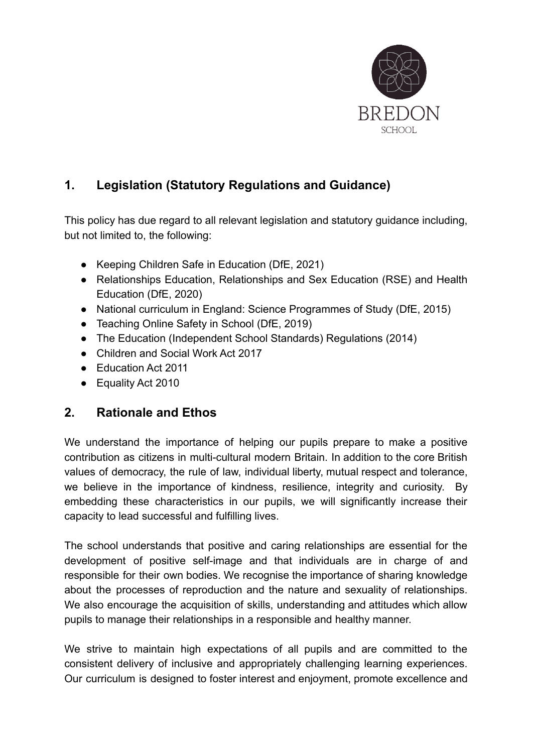

## <span id="page-3-0"></span>**1. Legislation (Statutory Regulations and Guidance)**

This policy has due regard to all relevant legislation and statutory guidance including, but not limited to, the following:

- Keeping Children Safe in Education (DfE, 2021)
- Relationships Education, Relationships and Sex Education (RSE) and Health Education (DfE, 2020)
- National curriculum in England: Science Programmes of Study (DfE, 2015)
- Teaching Online Safety in School (DfE, 2019)
- The Education (Independent School Standards) Regulations (2014)
- Children and Social Work Act 2017
- Education Act 2011
- Equality Act 2010

## <span id="page-3-1"></span>**2. Rationale and Ethos**

We understand the importance of helping our pupils prepare to make a positive contribution as citizens in multi-cultural modern Britain. In addition to the core British values of democracy, the rule of law, individual liberty, mutual respect and tolerance, we believe in the importance of kindness, resilience, integrity and curiosity. By embedding these characteristics in our pupils, we will significantly increase their capacity to lead successful and fulfilling lives.

The school understands that positive and caring relationships are essential for the development of positive self-image and that individuals are in charge of and responsible for their own bodies. We recognise the importance of sharing knowledge about the processes of reproduction and the nature and sexuality of relationships. We also encourage the acquisition of skills, understanding and attitudes which allow pupils to manage their relationships in a responsible and healthy manner.

We strive to maintain high expectations of all pupils and are committed to the consistent delivery of inclusive and appropriately challenging learning experiences. Our curriculum is designed to foster interest and enjoyment, promote excellence and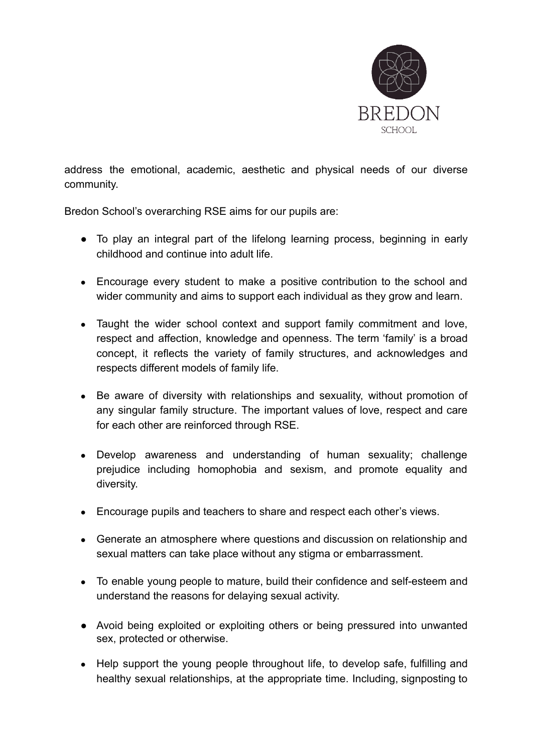

address the emotional, academic, aesthetic and physical needs of our diverse community.

Bredon School's overarching RSE aims for our pupils are:

- To play an integral part of the lifelong learning process, beginning in early childhood and continue into adult life.
- Encourage every student to make a positive contribution to the school and wider community and aims to support each individual as they grow and learn.
- Taught the wider school context and support family commitment and love, respect and affection, knowledge and openness. The term 'family' is a broad concept, it reflects the variety of family structures, and acknowledges and respects different models of family life.
- Be aware of diversity with relationships and sexuality, without promotion of any singular family structure. The important values of love, respect and care for each other are reinforced through RSE.
- Develop awareness and understanding of human sexuality; challenge prejudice including homophobia and sexism, and promote equality and diversity.
- Encourage pupils and teachers to share and respect each other's views.
- Generate an atmosphere where questions and discussion on relationship and sexual matters can take place without any stigma or embarrassment.
- To enable young people to mature, build their confidence and self-esteem and understand the reasons for delaying sexual activity.
- Avoid being exploited or exploiting others or being pressured into unwanted sex, protected or otherwise.
- Help support the young people throughout life, to develop safe, fulfilling and healthy sexual relationships, at the appropriate time. Including, signposting to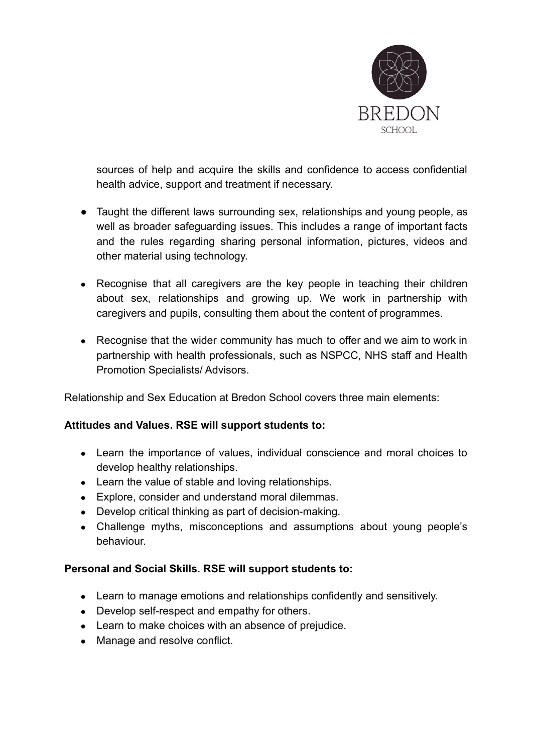

sources of help and acquire the skills and confidence to access confidential health advice, support and treatment if necessary.

- Taught the different laws surrounding sex, relationships and young people, as well as broader safeguarding issues. This includes a range of important facts and the rules regarding sharing personal information, pictures, videos and other material using technology.
- Recognise that all caregivers are the key people in teaching their children about sex, relationships and growing up. We work in partnership with caregivers and pupils, consulting them about the content of programmes.
- Recognise that the wider community has much to offer and we aim to work in partnership with health professionals, such as NSPCC, NHS staff and Health Promotion Specialists/ Advisors.

Relationship and Sex Education at Bredon School covers three main elements:

#### **Attitudes and Values. RSE will support students to:**

- Learn the importance of values, individual conscience and moral choices to develop healthy relationships.
- Learn the value of stable and loving relationships.
- Explore, consider and understand moral dilemmas.
- Develop critical thinking as part of decision-making.
- Challenge myths, misconceptions and assumptions about young people's behaviour.

#### **Personal and Social Skills. RSE will support students to:**

- Learn to manage emotions and relationships confidently and sensitively.
- Develop self-respect and empathy for others.
- Learn to make choices with an absence of prejudice.
- Manage and resolve conflict.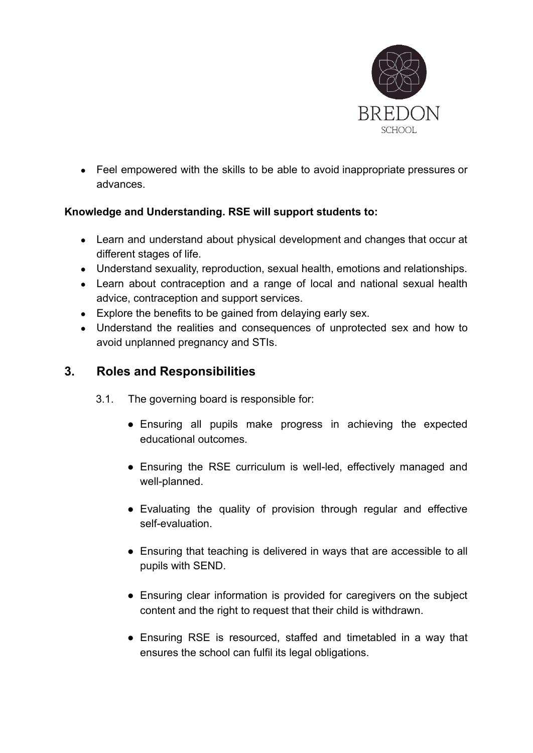

● Feel empowered with the skills to be able to avoid inappropriate pressures or advances.

### **Knowledge and Understanding. RSE will support students to:**

- Learn and understand about physical development and changes that occur at different stages of life.
- Understand sexuality, reproduction, sexual health, emotions and relationships.
- Learn about contraception and a range of local and national sexual health advice, contraception and support services.
- Explore the benefits to be gained from delaying early sex.
- Understand the realities and consequences of unprotected sex and how to avoid unplanned pregnancy and STIs.

## <span id="page-6-0"></span>**3. Roles and Responsibilities**

- 3.1. The governing board is responsible for:
	- Ensuring all pupils make progress in achieving the expected educational outcomes.
	- Ensuring the RSE curriculum is well-led, effectively managed and well-planned.
	- Evaluating the quality of provision through regular and effective self-evaluation.
	- Ensuring that teaching is delivered in ways that are accessible to all pupils with SEND.
	- Ensuring clear information is provided for caregivers on the subject content and the right to request that their child is withdrawn.
	- Ensuring RSE is resourced, staffed and timetabled in a way that ensures the school can fulfil its legal obligations.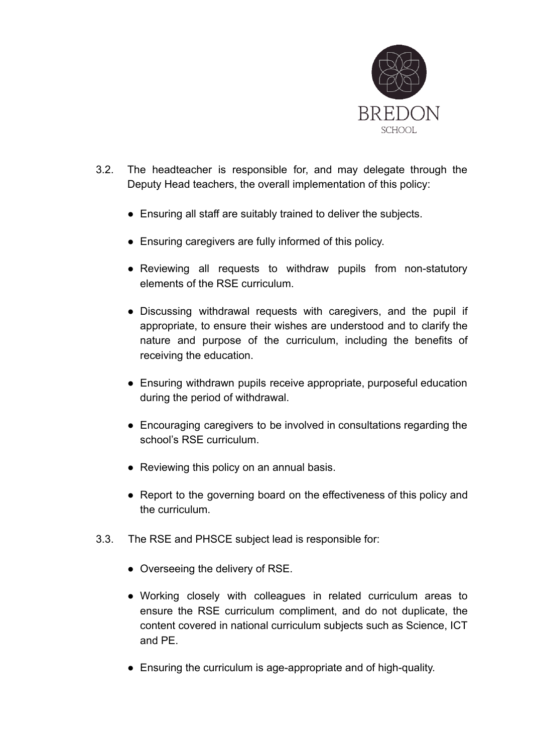

- 3.2. The headteacher is responsible for, and may delegate through the Deputy Head teachers, the overall implementation of this policy:
	- Ensuring all staff are suitably trained to deliver the subjects.
	- Ensuring caregivers are fully informed of this policy.
	- Reviewing all requests to withdraw pupils from non-statutory elements of the RSE curriculum.
	- Discussing withdrawal requests with caregivers, and the pupil if appropriate, to ensure their wishes are understood and to clarify the nature and purpose of the curriculum, including the benefits of receiving the education.
	- Ensuring withdrawn pupils receive appropriate, purposeful education during the period of withdrawal.
	- Encouraging caregivers to be involved in consultations regarding the school's RSE curriculum.
	- Reviewing this policy on an annual basis.
	- Report to the governing board on the effectiveness of this policy and the curriculum.
- 3.3. The RSE and PHSCE subject lead is responsible for:
	- Overseeing the delivery of RSE.
	- Working closely with colleagues in related curriculum areas to ensure the RSE curriculum compliment, and do not duplicate, the content covered in national curriculum subjects such as Science, ICT and PE.
	- Ensuring the curriculum is age-appropriate and of high-quality.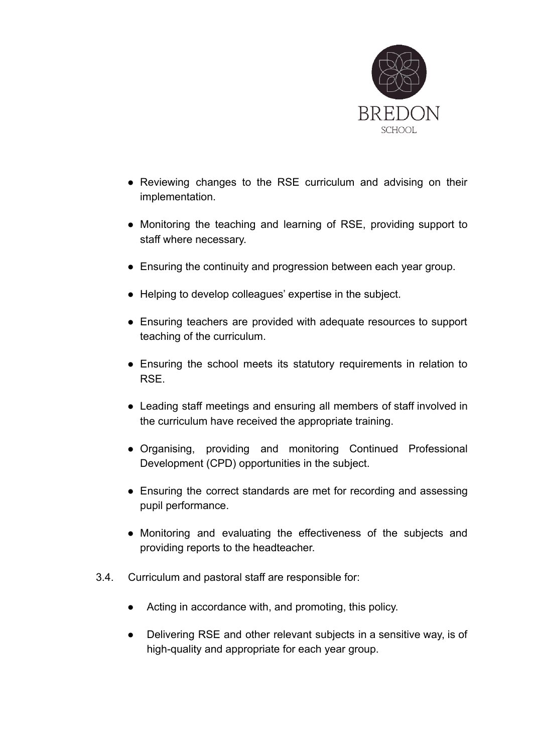

- Reviewing changes to the RSE curriculum and advising on their implementation.
- Monitoring the teaching and learning of RSE, providing support to staff where necessary.
- Ensuring the continuity and progression between each year group.
- Helping to develop colleagues' expertise in the subject.
- Ensuring teachers are provided with adequate resources to support teaching of the curriculum.
- Ensuring the school meets its statutory requirements in relation to RSE.
- Leading staff meetings and ensuring all members of staff involved in the curriculum have received the appropriate training.
- Organising, providing and monitoring Continued Professional Development (CPD) opportunities in the subject.
- Ensuring the correct standards are met for recording and assessing pupil performance.
- Monitoring and evaluating the effectiveness of the subjects and providing reports to the headteacher.
- 3.4. Curriculum and pastoral staff are responsible for:
	- Acting in accordance with, and promoting, this policy.
	- Delivering RSE and other relevant subjects in a sensitive way, is of high-quality and appropriate for each year group.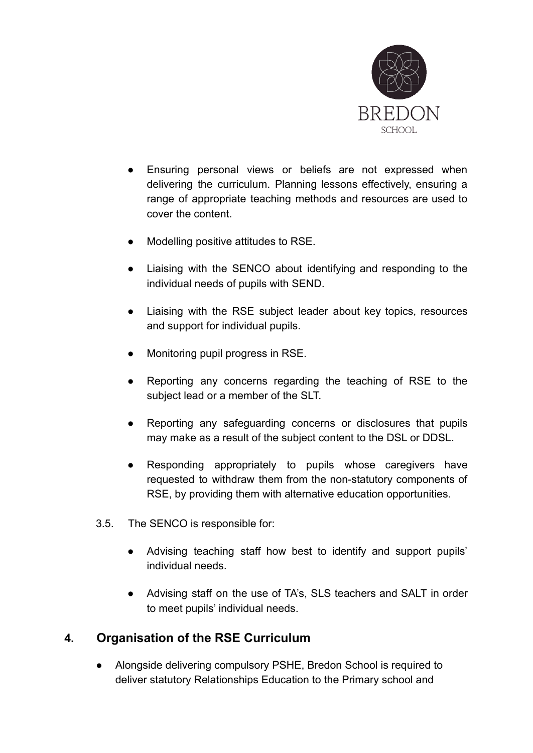

- Ensuring personal views or beliefs are not expressed when delivering the curriculum. Planning lessons effectively, ensuring a range of appropriate teaching methods and resources are used to cover the content.
- Modelling positive attitudes to RSE.
- Liaising with the SENCO about identifying and responding to the individual needs of pupils with SEND.
- Liaising with the RSE subject leader about key topics, resources and support for individual pupils.
- Monitoring pupil progress in RSE.
- Reporting any concerns regarding the teaching of RSE to the subject lead or a member of the SLT.
- Reporting any safeguarding concerns or disclosures that pupils may make as a result of the subject content to the DSL or DDSL.
- Responding appropriately to pupils whose caregivers have requested to withdraw them from the non-statutory components of RSE, by providing them with alternative education opportunities.
- 3.5. The SENCO is responsible for:
	- Advising teaching staff how best to identify and support pupils' individual needs.
	- Advising staff on the use of TA's, SLS teachers and SALT in order to meet pupils' individual needs.

## <span id="page-9-0"></span>**4. Organisation of the RSE Curriculum**

● Alongside delivering compulsory PSHE, Bredon School is required to deliver statutory Relationships Education to the Primary school and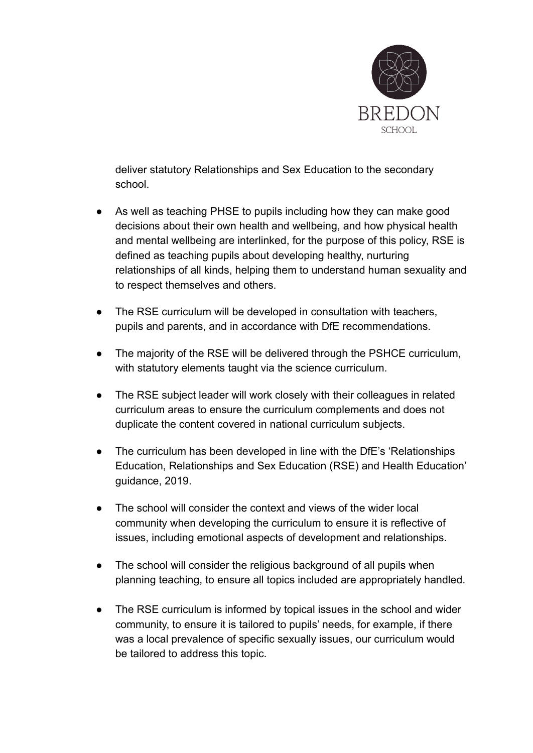

deliver statutory Relationships and Sex Education to the secondary school.

- As well as teaching PHSE to pupils including how they can make good decisions about their own health and wellbeing, and how physical health and mental wellbeing are interlinked, for the purpose of this policy, RSE is defined as teaching pupils about developing healthy, nurturing relationships of all kinds, helping them to understand human sexuality and to respect themselves and others.
- The RSE curriculum will be developed in consultation with teachers, pupils and parents, and in accordance with DfE recommendations.
- The majority of the RSE will be delivered through the PSHCE curriculum, with statutory elements taught via the science curriculum.
- The RSE subject leader will work closely with their colleagues in related curriculum areas to ensure the curriculum complements and does not duplicate the content covered in national curriculum subjects.
- The curriculum has been developed in line with the DfE's 'Relationships' Education, Relationships and Sex Education (RSE) and Health Education' guidance, 2019.
- The school will consider the context and views of the wider local community when developing the curriculum to ensure it is reflective of issues, including emotional aspects of development and relationships.
- The school will consider the religious background of all pupils when planning teaching, to ensure all topics included are appropriately handled.
- The RSE curriculum is informed by topical issues in the school and wider community, to ensure it is tailored to pupils' needs, for example, if there was a local prevalence of specific sexually issues, our curriculum would be tailored to address this topic.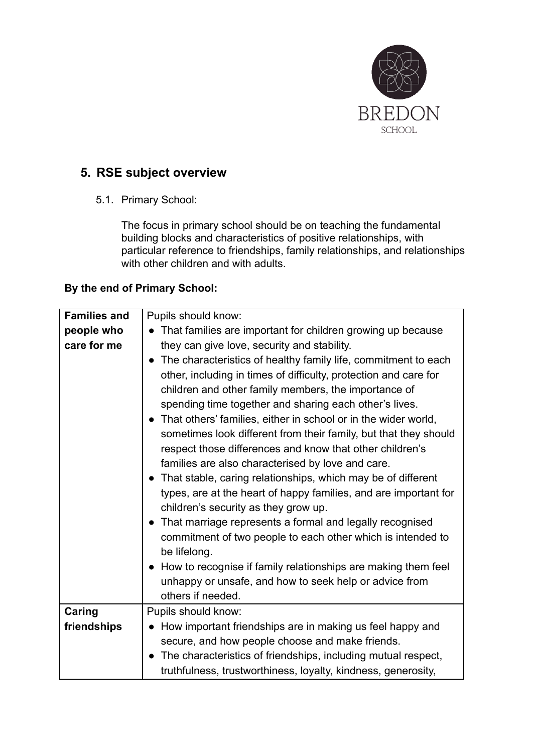

## <span id="page-11-0"></span>**5. RSE subject overview**

5.1. Primary School:

The focus in primary school should be on teaching the fundamental building blocks and characteristics of positive relationships, with particular reference to friendships, family relationships, and relationships with other children and with adults.

#### **By the end of Primary School:**

| <b>Families and</b> | Pupils should know:                                              |
|---------------------|------------------------------------------------------------------|
| people who          | That families are important for children growing up because      |
| care for me         | they can give love, security and stability.                      |
|                     | The characteristics of healthy family life, commitment to each   |
|                     | other, including in times of difficulty, protection and care for |
|                     | children and other family members, the importance of             |
|                     | spending time together and sharing each other's lives.           |
|                     | That others' families, either in school or in the wider world,   |
|                     | sometimes look different from their family, but that they should |
|                     | respect those differences and know that other children's         |
|                     | families are also characterised by love and care.                |
|                     | That stable, caring relationships, which may be of different     |
|                     | types, are at the heart of happy families, and are important for |
|                     | children's security as they grow up.                             |
|                     | • That marriage represents a formal and legally recognised       |
|                     | commitment of two people to each other which is intended to      |
|                     | be lifelong.                                                     |
|                     | How to recognise if family relationships are making them feel    |
|                     | unhappy or unsafe, and how to seek help or advice from           |
|                     | others if needed.                                                |
| Caring              | Pupils should know:                                              |
| friendships         | How important friendships are in making us feel happy and        |
|                     | secure, and how people choose and make friends.                  |
|                     | The characteristics of friendships, including mutual respect,    |
|                     | truthfulness, trustworthiness, loyalty, kindness, generosity,    |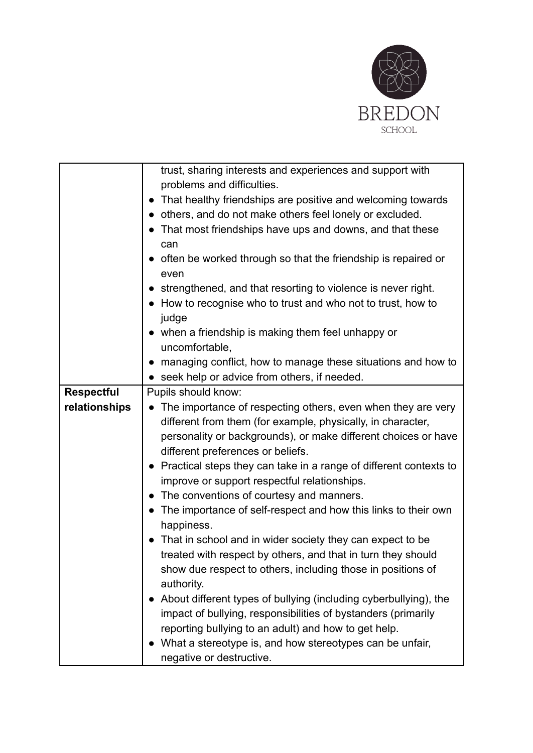

|                   | trust, sharing interests and experiences and support with                      |
|-------------------|--------------------------------------------------------------------------------|
|                   | problems and difficulties.                                                     |
|                   | That healthy friendships are positive and welcoming towards                    |
|                   | • others, and do not make others feel lonely or excluded.                      |
|                   | That most friendships have ups and downs, and that these                       |
|                   | can                                                                            |
|                   | often be worked through so that the friendship is repaired or                  |
|                   | even                                                                           |
|                   | strengthened, and that resorting to violence is never right.                   |
|                   | • How to recognise who to trust and who not to trust, how to                   |
|                   | judge                                                                          |
|                   | • when a friendship is making them feel unhappy or                             |
|                   | uncomfortable,                                                                 |
|                   | managing conflict, how to manage these situations and how to                   |
|                   | seek help or advice from others, if needed.                                    |
| <b>Respectful</b> | Pupils should know:                                                            |
| relationships     | • The importance of respecting others, even when they are very                 |
|                   | different from them (for example, physically, in character,                    |
|                   | personality or backgrounds), or make different choices or have                 |
|                   | different preferences or beliefs.                                              |
|                   | • Practical steps they can take in a range of different contexts to            |
|                   | improve or support respectful relationships.                                   |
|                   | The conventions of courtesy and manners.                                       |
|                   | The importance of self-respect and how this links to their own                 |
|                   | happiness.                                                                     |
|                   | That in school and in wider society they can expect to be                      |
|                   | treated with respect by others, and that in turn they should                   |
|                   | show due respect to others, including those in positions of                    |
|                   | authority.<br>About different types of bullying (including cyberbullying), the |
|                   | impact of bullying, responsibilities of bystanders (primarily                  |
|                   | reporting bullying to an adult) and how to get help.                           |
|                   | What a stereotype is, and how stereotypes can be unfair,                       |
|                   | negative or destructive.                                                       |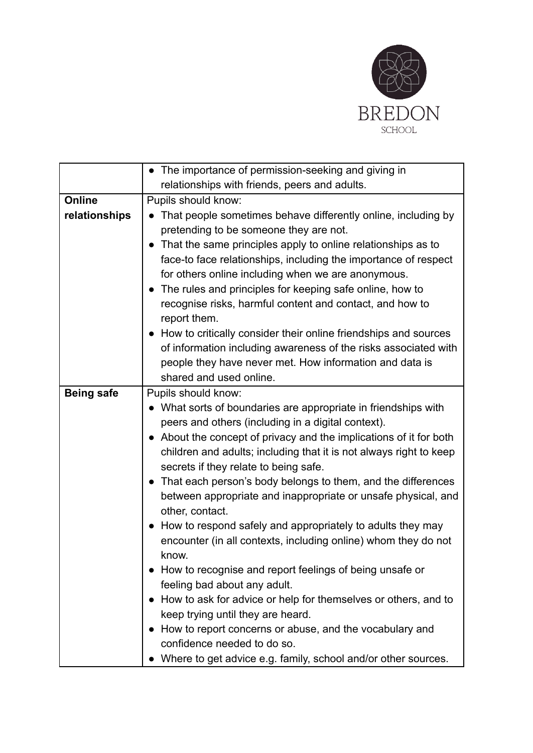

|                   | • The importance of permission-seeking and giving in                                                                                                                                                                                                                                                                                                                                                                                                                                                                                                                                                                                                                                                                                                                                                                                                                                                                                                                      |
|-------------------|---------------------------------------------------------------------------------------------------------------------------------------------------------------------------------------------------------------------------------------------------------------------------------------------------------------------------------------------------------------------------------------------------------------------------------------------------------------------------------------------------------------------------------------------------------------------------------------------------------------------------------------------------------------------------------------------------------------------------------------------------------------------------------------------------------------------------------------------------------------------------------------------------------------------------------------------------------------------------|
|                   | relationships with friends, peers and adults.                                                                                                                                                                                                                                                                                                                                                                                                                                                                                                                                                                                                                                                                                                                                                                                                                                                                                                                             |
| Online            | Pupils should know:                                                                                                                                                                                                                                                                                                                                                                                                                                                                                                                                                                                                                                                                                                                                                                                                                                                                                                                                                       |
| relationships     | • That people sometimes behave differently online, including by<br>pretending to be someone they are not.<br>That the same principles apply to online relationships as to<br>face-to face relationships, including the importance of respect<br>for others online including when we are anonymous.<br>• The rules and principles for keeping safe online, how to<br>recognise risks, harmful content and contact, and how to<br>report them.<br>• How to critically consider their online friendships and sources<br>of information including awareness of the risks associated with<br>people they have never met. How information and data is                                                                                                                                                                                                                                                                                                                           |
|                   | shared and used online.                                                                                                                                                                                                                                                                                                                                                                                                                                                                                                                                                                                                                                                                                                                                                                                                                                                                                                                                                   |
| <b>Being safe</b> | Pupils should know:                                                                                                                                                                                                                                                                                                                                                                                                                                                                                                                                                                                                                                                                                                                                                                                                                                                                                                                                                       |
|                   | • What sorts of boundaries are appropriate in friendships with<br>peers and others (including in a digital context).<br>• About the concept of privacy and the implications of it for both<br>children and adults; including that it is not always right to keep<br>secrets if they relate to being safe.<br>• That each person's body belongs to them, and the differences<br>between appropriate and inappropriate or unsafe physical, and<br>other, contact.<br>• How to respond safely and appropriately to adults they may<br>encounter (in all contexts, including online) whom they do not<br>know.<br>How to recognise and report feelings of being unsafe or<br>feeling bad about any adult.<br>• How to ask for advice or help for themselves or others, and to<br>keep trying until they are heard.<br>How to report concerns or abuse, and the vocabulary and<br>confidence needed to do so.<br>Where to get advice e.g. family, school and/or other sources. |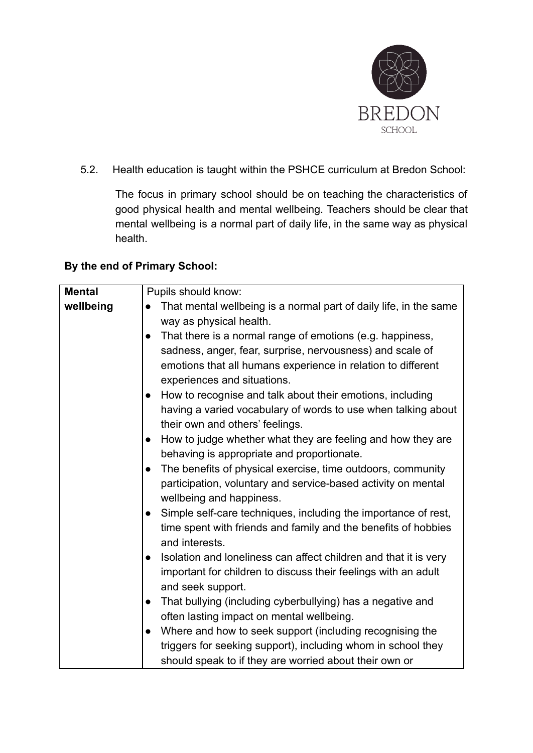

5.2. Health education is taught within the PSHCE curriculum at Bredon School:

The focus in primary school should be on teaching the characteristics of good physical health and mental wellbeing. Teachers should be clear that mental wellbeing is a normal part of daily life, in the same way as physical health.

#### **By the end of Primary School:**

| <b>Mental</b> | Pupils should know:                                                            |
|---------------|--------------------------------------------------------------------------------|
| wellbeing     | That mental wellbeing is a normal part of daily life, in the same<br>$\bullet$ |
|               | way as physical health.                                                        |
|               | That there is a normal range of emotions (e.g. happiness,<br>$\bullet$         |
|               | sadness, anger, fear, surprise, nervousness) and scale of                      |
|               | emotions that all humans experience in relation to different                   |
|               | experiences and situations.                                                    |
|               | How to recognise and talk about their emotions, including<br>$\bullet$         |
|               | having a varied vocabulary of words to use when talking about                  |
|               | their own and others' feelings.                                                |
|               | How to judge whether what they are feeling and how they are<br>$\bullet$       |
|               | behaving is appropriate and proportionate.                                     |
|               | The benefits of physical exercise, time outdoors, community<br>$\bullet$       |
|               | participation, voluntary and service-based activity on mental                  |
|               | wellbeing and happiness.                                                       |
|               | Simple self-care techniques, including the importance of rest,<br>$\bullet$    |
|               | time spent with friends and family and the benefits of hobbies                 |
|               | and interests.                                                                 |
|               | Isolation and loneliness can affect children and that it is very<br>$\bullet$  |
|               | important for children to discuss their feelings with an adult                 |
|               | and seek support.                                                              |
|               | That bullying (including cyberbullying) has a negative and<br>$\bullet$        |
|               | often lasting impact on mental wellbeing.                                      |
|               | Where and how to seek support (including recognising the<br>$\bullet$          |
|               | triggers for seeking support), including whom in school they                   |
|               | should speak to if they are worried about their own or                         |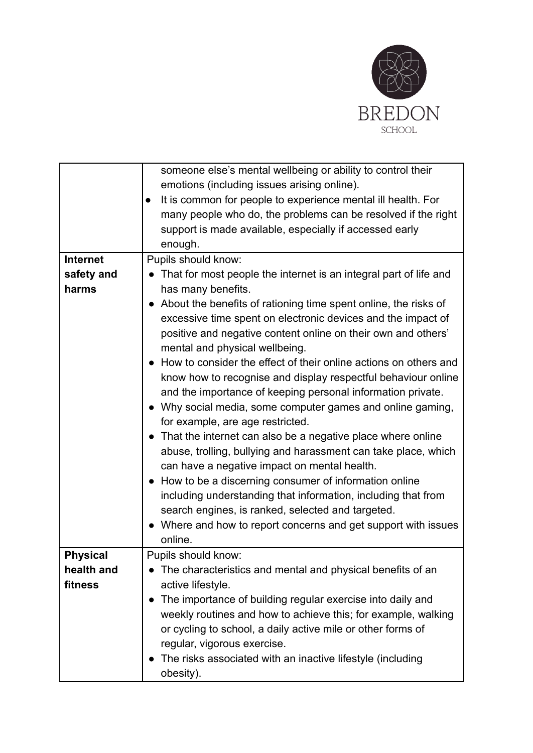

|                 | someone else's mental wellbeing or ability to control their         |
|-----------------|---------------------------------------------------------------------|
|                 | emotions (including issues arising online).                         |
|                 | It is common for people to experience mental ill health. For        |
|                 | many people who do, the problems can be resolved if the right       |
|                 | support is made available, especially if accessed early             |
|                 | enough.                                                             |
| <b>Internet</b> | Pupils should know:                                                 |
| safety and      | • That for most people the internet is an integral part of life and |
| harms           |                                                                     |
|                 | has many benefits.                                                  |
|                 | About the benefits of rationing time spent online, the risks of     |
|                 | excessive time spent on electronic devices and the impact of        |
|                 | positive and negative content online on their own and others'       |
|                 | mental and physical wellbeing.                                      |
|                 | How to consider the effect of their online actions on others and    |
|                 | know how to recognise and display respectful behaviour online       |
|                 | and the importance of keeping personal information private.         |
|                 | • Why social media, some computer games and online gaming,          |
|                 | for example, are age restricted.                                    |
|                 | That the internet can also be a negative place where online         |
|                 | abuse, trolling, bullying and harassment can take place, which      |
|                 | can have a negative impact on mental health.                        |
|                 | How to be a discerning consumer of information online               |
|                 | including understanding that information, including that from       |
|                 | search engines, is ranked, selected and targeted.                   |
|                 | • Where and how to report concerns and get support with issues      |
|                 | online.                                                             |
| <b>Physical</b> | Pupils should know:                                                 |
| health and      | The characteristics and mental and physical benefits of an          |
| fitness         | active lifestyle.                                                   |
|                 | The importance of building regular exercise into daily and          |
|                 | weekly routines and how to achieve this; for example, walking       |
|                 |                                                                     |
|                 | or cycling to school, a daily active mile or other forms of         |
|                 | regular, vigorous exercise.                                         |
|                 | The risks associated with an inactive lifestyle (including          |
|                 | obesity).                                                           |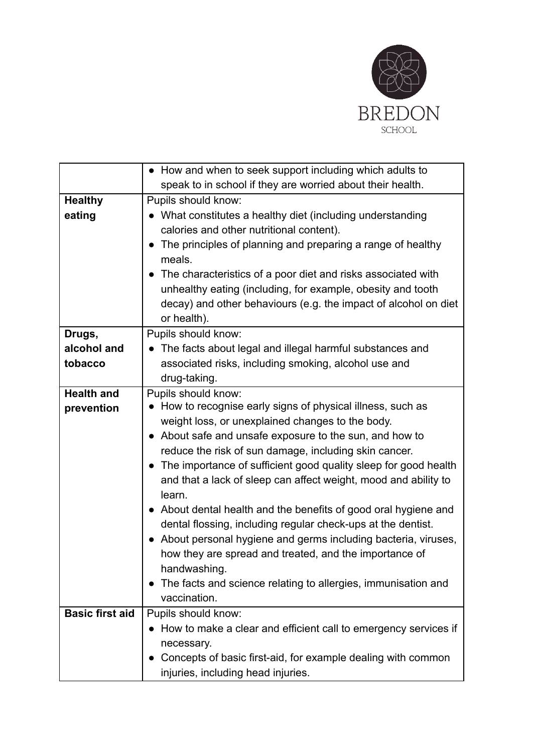

|                        | • How and when to seek support including which adults to                      |
|------------------------|-------------------------------------------------------------------------------|
|                        | speak to in school if they are worried about their health.                    |
| <b>Healthy</b>         | Pupils should know:                                                           |
| eating                 | • What constitutes a healthy diet (including understanding                    |
|                        | calories and other nutritional content).                                      |
|                        | The principles of planning and preparing a range of healthy                   |
|                        | meals.                                                                        |
|                        | • The characteristics of a poor diet and risks associated with                |
|                        | unhealthy eating (including, for example, obesity and tooth                   |
|                        | decay) and other behaviours (e.g. the impact of alcohol on diet               |
|                        | or health).                                                                   |
| Drugs,                 | Pupils should know:                                                           |
| alcohol and            | The facts about legal and illegal harmful substances and                      |
| tobacco                | associated risks, including smoking, alcohol use and                          |
|                        | drug-taking.                                                                  |
| <b>Health and</b>      | Pupils should know:                                                           |
| prevention             | • How to recognise early signs of physical illness, such as                   |
|                        | weight loss, or unexplained changes to the body.                              |
|                        | • About safe and unsafe exposure to the sun, and how to                       |
|                        | reduce the risk of sun damage, including skin cancer.                         |
|                        | The importance of sufficient good quality sleep for good health               |
|                        | and that a lack of sleep can affect weight, mood and ability to               |
|                        | learn.                                                                        |
|                        | About dental health and the benefits of good oral hygiene and                 |
|                        | dental flossing, including regular check-ups at the dentist.                  |
|                        | About personal hygiene and germs including bacteria, viruses,                 |
|                        | how they are spread and treated, and the importance of                        |
|                        | handwashing.                                                                  |
|                        | The facts and science relating to allergies, immunisation and<br>vaccination. |
| <b>Basic first aid</b> | Pupils should know:                                                           |
|                        | • How to make a clear and efficient call to emergency services if             |
|                        |                                                                               |
|                        | necessary.<br>Concepts of basic first-aid, for example dealing with common    |
|                        |                                                                               |
|                        | injuries, including head injuries.                                            |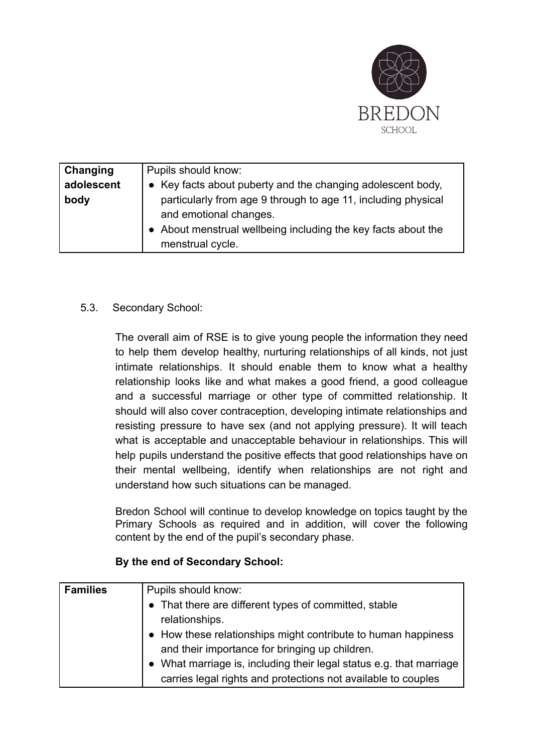

| Changing<br>adolescent<br>body | Pupils should know:<br>• Key facts about puberty and the changing adolescent body,<br>particularly from age 9 through to age 11, including physical<br>and emotional changes. |
|--------------------------------|-------------------------------------------------------------------------------------------------------------------------------------------------------------------------------|
|                                | • About menstrual wellbeing including the key facts about the<br>menstrual cycle.                                                                                             |

#### 5.3. Secondary School:

The overall aim of RSE is to give young people the information they need to help them develop healthy, nurturing relationships of all kinds, not just intimate relationships. It should enable them to know what a healthy relationship looks like and what makes a good friend, a good colleague and a successful marriage or other type of committed relationship. It should will also cover contraception, developing intimate relationships and resisting pressure to have sex (and not applying pressure). It will teach what is acceptable and unacceptable behaviour in relationships. This will help pupils understand the positive effects that good relationships have on their mental wellbeing, identify when relationships are not right and understand how such situations can be managed.

Bredon School will continue to develop knowledge on topics taught by the Primary Schools as required and in addition, will cover the following content by the end of the pupil's secondary phase.

#### **By the end of Secondary School:**

| <b>Families</b> | Pupils should know:                                               |
|-----------------|-------------------------------------------------------------------|
|                 | • That there are different types of committed, stable             |
|                 | relationships.                                                    |
|                 | • How these relationships might contribute to human happiness     |
|                 | and their importance for bringing up children.                    |
|                 | What marriage is, including their legal status e.g. that marriage |
|                 | carries legal rights and protections not available to couples     |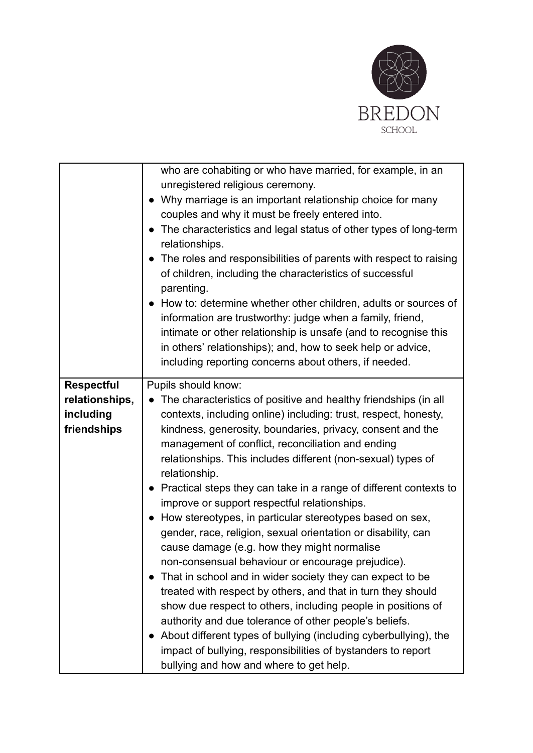

|                   | who are cohabiting or who have married, for example, in an                           |
|-------------------|--------------------------------------------------------------------------------------|
|                   | unregistered religious ceremony.                                                     |
|                   | Why marriage is an important relationship choice for many                            |
|                   | couples and why it must be freely entered into.                                      |
|                   | • The characteristics and legal status of other types of long-term<br>relationships. |
|                   | • The roles and responsibilities of parents with respect to raising                  |
|                   | of children, including the characteristics of successful                             |
|                   | parenting.                                                                           |
|                   | • How to: determine whether other children, adults or sources of                     |
|                   | information are trustworthy: judge when a family, friend,                            |
|                   | intimate or other relationship is unsafe (and to recognise this                      |
|                   | in others' relationships); and, how to seek help or advice,                          |
|                   | including reporting concerns about others, if needed.                                |
|                   |                                                                                      |
| <b>Respectful</b> | Pupils should know:                                                                  |
| relationships,    | The characteristics of positive and healthy friendships (in all<br>$\bullet$         |
| including         | contexts, including online) including: trust, respect, honesty,                      |
| friendships       | kindness, generosity, boundaries, privacy, consent and the                           |
|                   | management of conflict, reconciliation and ending                                    |
|                   | relationships. This includes different (non-sexual) types of                         |
|                   | relationship.                                                                        |
|                   | • Practical steps they can take in a range of different contexts to                  |
|                   | improve or support respectful relationships.                                         |
|                   | How stereotypes, in particular stereotypes based on sex,                             |
|                   | gender, race, religion, sexual orientation or disability, can                        |
|                   | cause damage (e.g. how they might normalise                                          |
|                   | non-consensual behaviour or encourage prejudice).                                    |
|                   | That in school and in wider society they can expect to be<br>$\bullet$               |
|                   | treated with respect by others, and that in turn they should                         |
|                   | show due respect to others, including people in positions of                         |
|                   | authority and due tolerance of other people's beliefs.                               |
|                   | About different types of bullying (including cyberbullying), the                     |
|                   | impact of bullying, responsibilities of bystanders to report                         |
|                   | bullying and how and where to get help.                                              |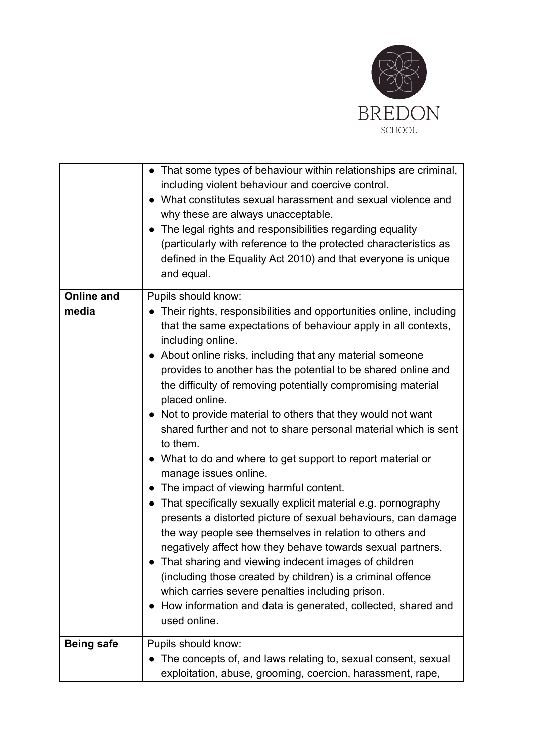

|                   | • That some types of behaviour within relationships are criminal,<br>including violent behaviour and coercive control.<br>What constitutes sexual harassment and sexual violence and<br>why these are always unacceptable.<br>The legal rights and responsibilities regarding equality<br>(particularly with reference to the protected characteristics as<br>defined in the Equality Act 2010) and that everyone is unique<br>and equal.                                                                                                                                                                                                                                                                                                                                                                                                                                                                                                                                                                                                                                                                                                                                    |
|-------------------|------------------------------------------------------------------------------------------------------------------------------------------------------------------------------------------------------------------------------------------------------------------------------------------------------------------------------------------------------------------------------------------------------------------------------------------------------------------------------------------------------------------------------------------------------------------------------------------------------------------------------------------------------------------------------------------------------------------------------------------------------------------------------------------------------------------------------------------------------------------------------------------------------------------------------------------------------------------------------------------------------------------------------------------------------------------------------------------------------------------------------------------------------------------------------|
| <b>Online and</b> | Pupils should know:                                                                                                                                                                                                                                                                                                                                                                                                                                                                                                                                                                                                                                                                                                                                                                                                                                                                                                                                                                                                                                                                                                                                                          |
| media             | • Their rights, responsibilities and opportunities online, including<br>that the same expectations of behaviour apply in all contexts,<br>including online.<br>About online risks, including that any material someone<br>provides to another has the potential to be shared online and<br>the difficulty of removing potentially compromising material<br>placed online.<br>Not to provide material to others that they would not want<br>shared further and not to share personal material which is sent<br>to them.<br>What to do and where to get support to report material or<br>manage issues online.<br>The impact of viewing harmful content.<br>That specifically sexually explicit material e.g. pornography<br>presents a distorted picture of sexual behaviours, can damage<br>the way people see themselves in relation to others and<br>negatively affect how they behave towards sexual partners.<br>That sharing and viewing indecent images of children<br>(including those created by children) is a criminal offence<br>which carries severe penalties including prison.<br>How information and data is generated, collected, shared and<br>used online. |
|                   |                                                                                                                                                                                                                                                                                                                                                                                                                                                                                                                                                                                                                                                                                                                                                                                                                                                                                                                                                                                                                                                                                                                                                                              |
| <b>Being safe</b> | Pupils should know:                                                                                                                                                                                                                                                                                                                                                                                                                                                                                                                                                                                                                                                                                                                                                                                                                                                                                                                                                                                                                                                                                                                                                          |
|                   | The concepts of, and laws relating to, sexual consent, sexual<br>exploitation, abuse, grooming, coercion, harassment, rape,                                                                                                                                                                                                                                                                                                                                                                                                                                                                                                                                                                                                                                                                                                                                                                                                                                                                                                                                                                                                                                                  |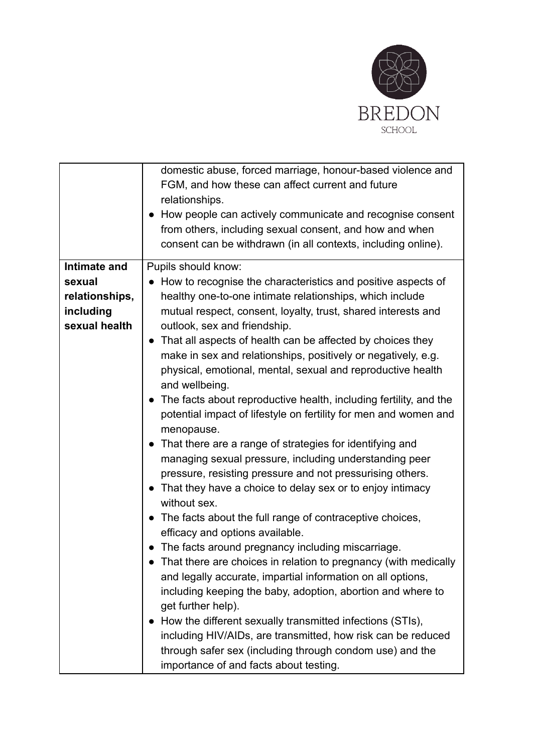

|                     | domestic abuse, forced marriage, honour-based violence and<br>FGM, and how these can affect current and future<br>relationships.<br>How people can actively communicate and recognise consent                |
|---------------------|--------------------------------------------------------------------------------------------------------------------------------------------------------------------------------------------------------------|
|                     | from others, including sexual consent, and how and when<br>consent can be withdrawn (in all contexts, including online).                                                                                     |
| <b>Intimate and</b> | Pupils should know:                                                                                                                                                                                          |
| sexual              | • How to recognise the characteristics and positive aspects of                                                                                                                                               |
| relationships,      | healthy one-to-one intimate relationships, which include                                                                                                                                                     |
| including           | mutual respect, consent, loyalty, trust, shared interests and                                                                                                                                                |
| sexual health       | outlook, sex and friendship.                                                                                                                                                                                 |
|                     | That all aspects of health can be affected by choices they<br>make in sex and relationships, positively or negatively, e.g.<br>physical, emotional, mental, sexual and reproductive health<br>and wellbeing. |
|                     | The facts about reproductive health, including fertility, and the<br>potential impact of lifestyle on fertility for men and women and<br>menopause.                                                          |
|                     | • That there are a range of strategies for identifying and                                                                                                                                                   |
|                     | managing sexual pressure, including understanding peer                                                                                                                                                       |
|                     | pressure, resisting pressure and not pressurising others.                                                                                                                                                    |
|                     | That they have a choice to delay sex or to enjoy intimacy<br>without sex.                                                                                                                                    |
|                     | • The facts about the full range of contraceptive choices,<br>efficacy and options available.                                                                                                                |
|                     | The facts around pregnancy including miscarriage.                                                                                                                                                            |
|                     | That there are choices in relation to pregnancy (with medically<br>and legally accurate, impartial information on all options,                                                                               |
|                     | including keeping the baby, adoption, abortion and where to<br>get further help).                                                                                                                            |
|                     | How the different sexually transmitted infections (STIs),                                                                                                                                                    |
|                     | including HIV/AIDs, are transmitted, how risk can be reduced                                                                                                                                                 |
|                     | through safer sex (including through condom use) and the<br>importance of and facts about testing.                                                                                                           |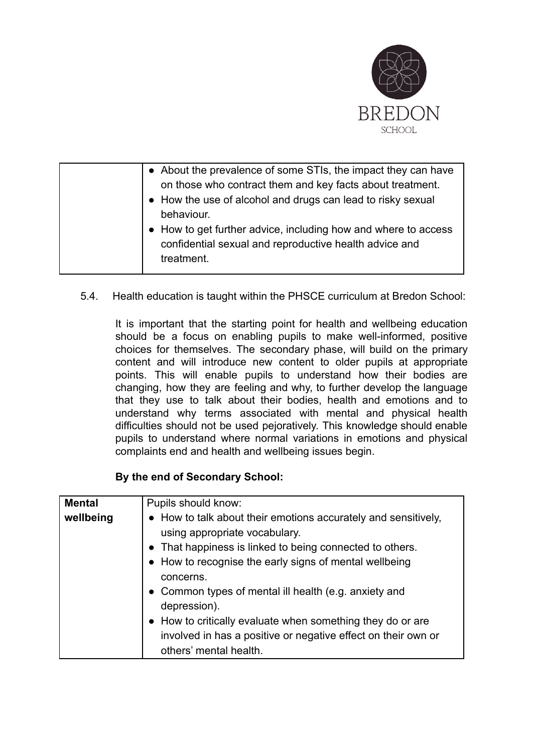

| • About the prevalence of some STIs, the impact they can have<br>on those who contract them and key facts about treatment.<br>• How the use of alcohol and drugs can lead to risky sexual |
|-------------------------------------------------------------------------------------------------------------------------------------------------------------------------------------------|
| behaviour.                                                                                                                                                                                |
| • How to get further advice, including how and where to access<br>confidential sexual and reproductive health advice and<br>treatment.                                                    |

5.4. Health education is taught within the PHSCE curriculum at Bredon School:

It is important that the starting point for health and wellbeing education should be a focus on enabling pupils to make well-informed, positive choices for themselves. The secondary phase, will build on the primary content and will introduce new content to older pupils at appropriate points. This will enable pupils to understand how their bodies are changing, how they are feeling and why, to further develop the language that they use to talk about their bodies, health and emotions and to understand why terms associated with mental and physical health difficulties should not be used pejoratively. This knowledge should enable pupils to understand where normal variations in emotions and physical complaints end and health and wellbeing issues begin.

#### **By the end of Secondary School:**

| <b>Mental</b> | Pupils should know:                                                                                                                                                                                                                |
|---------------|------------------------------------------------------------------------------------------------------------------------------------------------------------------------------------------------------------------------------------|
| wellbeing     | • How to talk about their emotions accurately and sensitively,<br>using appropriate vocabulary.<br>• That happiness is linked to being connected to others.<br>• How to recognise the early signs of mental wellbeing<br>concerns. |
|               | • Common types of mental ill health (e.g. anxiety and<br>depression).<br>• How to critically evaluate when something they do or are<br>involved in has a positive or negative effect on their own or<br>others' mental health.     |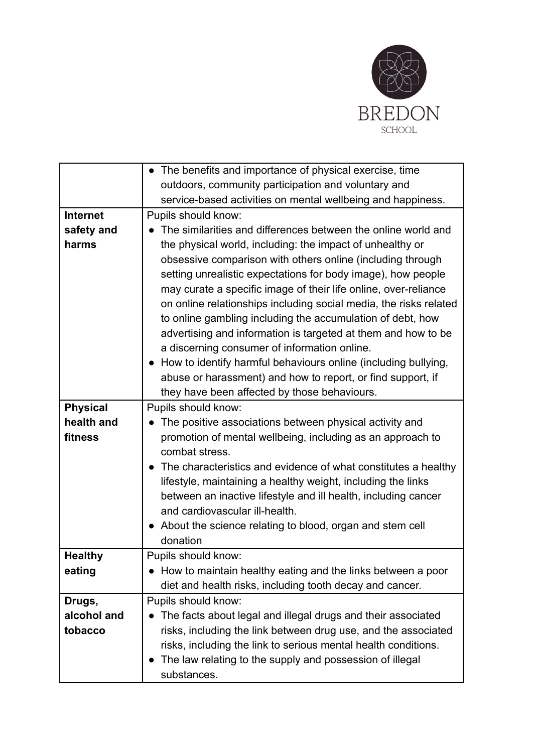

|                 | • The benefits and importance of physical exercise, time                 |
|-----------------|--------------------------------------------------------------------------|
|                 | outdoors, community participation and voluntary and                      |
|                 | service-based activities on mental wellbeing and happiness.              |
| <b>Internet</b> | Pupils should know:                                                      |
| safety and      | The similarities and differences between the online world and            |
| harms           | the physical world, including: the impact of unhealthy or                |
|                 | obsessive comparison with others online (including through               |
|                 | setting unrealistic expectations for body image), how people             |
|                 | may curate a specific image of their life online, over-reliance          |
|                 | on online relationships including social media, the risks related        |
|                 | to online gambling including the accumulation of debt, how               |
|                 | advertising and information is targeted at them and how to be            |
|                 | a discerning consumer of information online.                             |
|                 | • How to identify harmful behaviours online (including bullying,         |
|                 | abuse or harassment) and how to report, or find support, if              |
|                 | they have been affected by those behaviours.                             |
| <b>Physical</b> | Pupils should know:                                                      |
| health and      | The positive associations between physical activity and                  |
| fitness         | promotion of mental wellbeing, including as an approach to               |
|                 | combat stress.                                                           |
|                 | The characteristics and evidence of what constitutes a healthy           |
|                 | lifestyle, maintaining a healthy weight, including the links             |
|                 | between an inactive lifestyle and ill health, including cancer           |
|                 | and cardiovascular ill-health.                                           |
|                 | About the science relating to blood, organ and stem cell                 |
|                 | donation                                                                 |
| <b>Healthy</b>  | Pupils should know:                                                      |
| eating          | How to maintain healthy eating and the links between a poor<br>$\bullet$ |
|                 | diet and health risks, including tooth decay and cancer.                 |
| Drugs,          | Pupils should know:                                                      |
| alcohol and     | The facts about legal and illegal drugs and their associated             |
| tobacco         | risks, including the link between drug use, and the associated           |
|                 | risks, including the link to serious mental health conditions.           |
|                 | The law relating to the supply and possession of illegal                 |
|                 | substances.                                                              |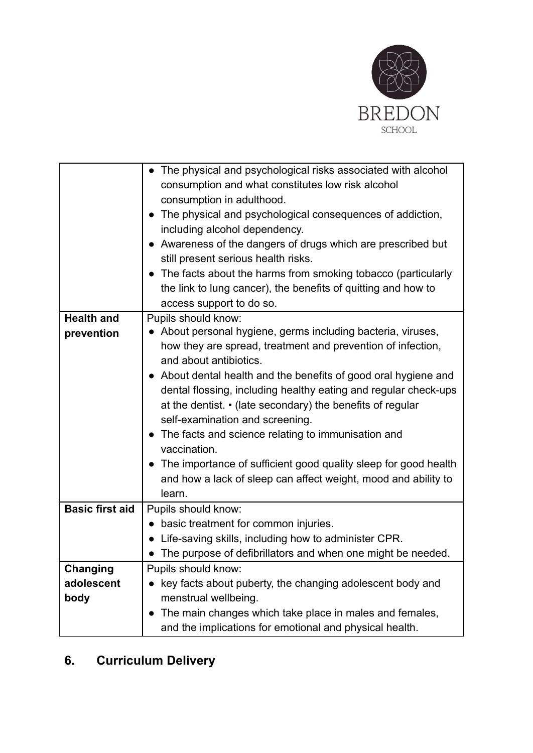

|                        | The physical and psychological risks associated with alcohol      |
|------------------------|-------------------------------------------------------------------|
|                        | consumption and what constitutes low risk alcohol                 |
|                        | consumption in adulthood.                                         |
|                        | The physical and psychological consequences of addiction,         |
|                        | including alcohol dependency.                                     |
|                        | • Awareness of the dangers of drugs which are prescribed but      |
|                        | still present serious health risks.                               |
|                        | The facts about the harms from smoking tobacco (particularly      |
|                        | the link to lung cancer), the benefits of quitting and how to     |
|                        | access support to do so.                                          |
| <b>Health and</b>      | Pupils should know:                                               |
| prevention             | • About personal hygiene, germs including bacteria, viruses,      |
|                        | how they are spread, treatment and prevention of infection,       |
|                        | and about antibiotics.                                            |
|                        | • About dental health and the benefits of good oral hygiene and   |
|                        | dental flossing, including healthy eating and regular check-ups   |
|                        | at the dentist. • (late secondary) the benefits of regular        |
|                        | self-examination and screening.                                   |
|                        | • The facts and science relating to immunisation and              |
|                        | vaccination.                                                      |
|                        | • The importance of sufficient good quality sleep for good health |
|                        | and how a lack of sleep can affect weight, mood and ability to    |
|                        | learn.                                                            |
| <b>Basic first aid</b> | Pupils should know:                                               |
|                        | • basic treatment for common injuries.                            |
|                        | Life-saving skills, including how to administer CPR.              |
|                        | • The purpose of defibrillators and when one might be needed.     |
| Changing               | Pupils should know:                                               |
| adolescent             | key facts about puberty, the changing adolescent body and         |
| body                   | menstrual wellbeing.                                              |
|                        | The main changes which take place in males and females,           |
|                        | and the implications for emotional and physical health.           |

# <span id="page-23-0"></span>**6. Curriculum Delivery**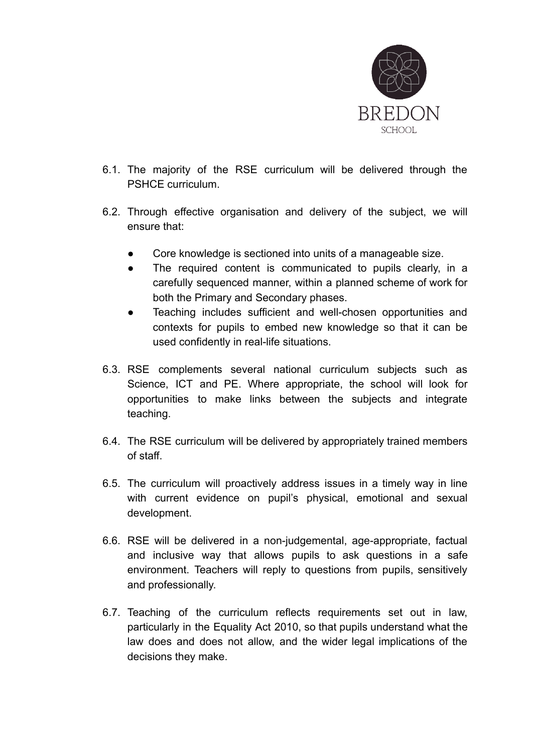

- 6.1. The majority of the RSE curriculum will be delivered through the PSHCE curriculum.
- 6.2. Through effective organisation and delivery of the subject, we will ensure that:
	- Core knowledge is sectioned into units of a manageable size.
	- The required content is communicated to pupils clearly, in a carefully sequenced manner, within a planned scheme of work for both the Primary and Secondary phases.
	- Teaching includes sufficient and well-chosen opportunities and contexts for pupils to embed new knowledge so that it can be used confidently in real-life situations.
- 6.3. RSE complements several national curriculum subjects such as Science, ICT and PE. Where appropriate, the school will look for opportunities to make links between the subjects and integrate teaching.
- 6.4. The RSE curriculum will be delivered by appropriately trained members of staff.
- 6.5. The curriculum will proactively address issues in a timely way in line with current evidence on pupil's physical, emotional and sexual development.
- 6.6. RSE will be delivered in a non-judgemental, age-appropriate, factual and inclusive way that allows pupils to ask questions in a safe environment. Teachers will reply to questions from pupils, sensitively and professionally.
- 6.7. Teaching of the curriculum reflects requirements set out in law, particularly in the Equality Act 2010, so that pupils understand what the law does and does not allow, and the wider legal implications of the decisions they make.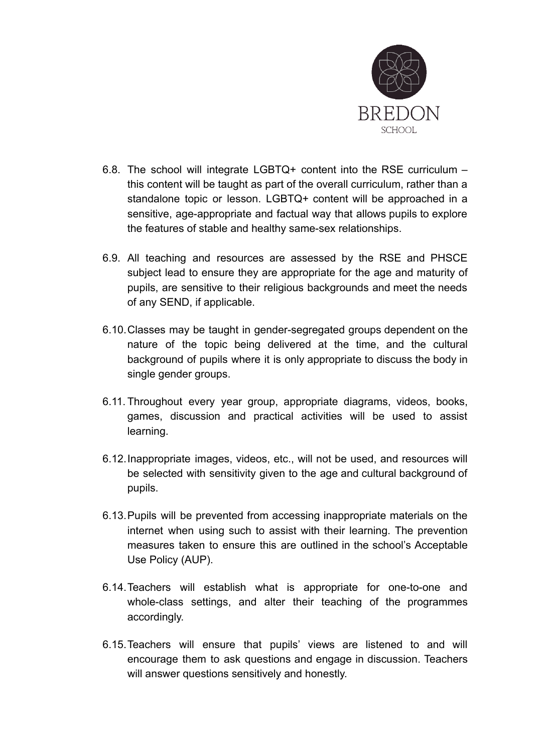

- 6.8. The school will integrate LGBTQ+ content into the RSE curriculum this content will be taught as part of the overall curriculum, rather than a standalone topic or lesson. LGBTQ+ content will be approached in a sensitive, age-appropriate and factual way that allows pupils to explore the features of stable and healthy same-sex relationships.
- 6.9. All teaching and resources are assessed by the RSE and PHSCE subject lead to ensure they are appropriate for the age and maturity of pupils, are sensitive to their religious backgrounds and meet the needs of any SEND, if applicable.
- 6.10.Classes may be taught in gender-segregated groups dependent on the nature of the topic being delivered at the time, and the cultural background of pupils where it is only appropriate to discuss the body in single gender groups.
- 6.11. Throughout every year group, appropriate diagrams, videos, books, games, discussion and practical activities will be used to assist learning.
- 6.12.Inappropriate images, videos, etc., will not be used, and resources will be selected with sensitivity given to the age and cultural background of pupils.
- 6.13.Pupils will be prevented from accessing inappropriate materials on the internet when using such to assist with their learning. The prevention measures taken to ensure this are outlined in the school's Acceptable Use Policy (AUP).
- 6.14.Teachers will establish what is appropriate for one-to-one and whole-class settings, and alter their teaching of the programmes accordingly.
- 6.15.Teachers will ensure that pupils' views are listened to and will encourage them to ask questions and engage in discussion. Teachers will answer questions sensitively and honestly.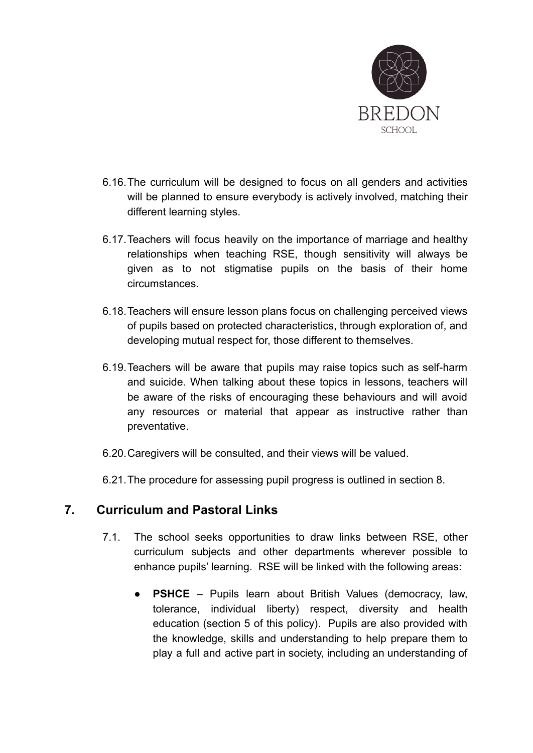

- 6.16.The curriculum will be designed to focus on all genders and activities will be planned to ensure everybody is actively involved, matching their different learning styles.
- 6.17.Teachers will focus heavily on the importance of marriage and healthy relationships when teaching RSE, though sensitivity will always be given as to not stigmatise pupils on the basis of their home circumstances.
- 6.18.Teachers will ensure lesson plans focus on challenging perceived views of pupils based on protected characteristics, through exploration of, and developing mutual respect for, those different to themselves.
- 6.19.Teachers will be aware that pupils may raise topics such as self-harm and suicide. When talking about these topics in lessons, teachers will be aware of the risks of encouraging these behaviours and will avoid any resources or material that appear as instructive rather than preventative.
- 6.20.Caregivers will be consulted, and their views will be valued.
- 6.21.The procedure for assessing pupil progress is outlined in section 8.

## <span id="page-26-0"></span>**7. Curriculum and Pastoral Links**

- 7.1. The school seeks opportunities to draw links between RSE, other curriculum subjects and other departments wherever possible to enhance pupils' learning. RSE will be linked with the following areas:
	- **PSHCE** Pupils learn about British Values (democracy, law, tolerance, individual liberty) respect, diversity and health education (section 5 of this policy). Pupils are also provided with the knowledge, skills and understanding to help prepare them to play a full and active part in society, including an understanding of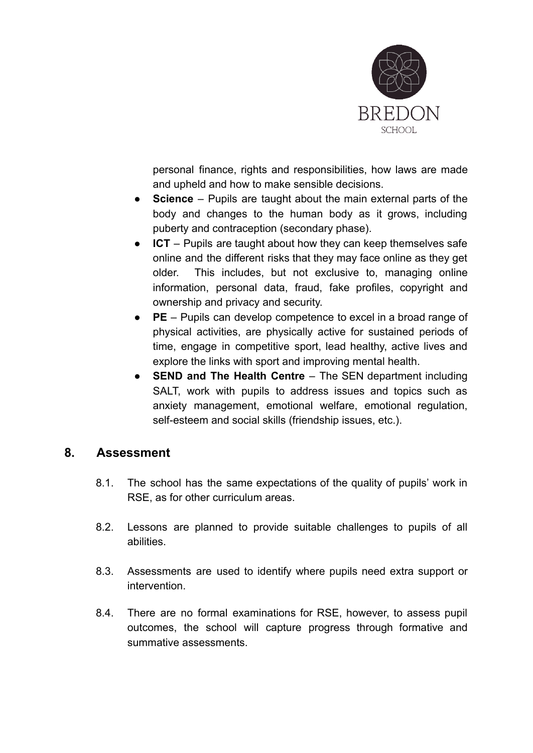

personal finance, rights and responsibilities, how laws are made and upheld and how to make sensible decisions.

- **Science** Pupils are taught about the main external parts of the body and changes to the human body as it grows, including puberty and contraception (secondary phase).
- **ICT** Pupils are taught about how they can keep themselves safe online and the different risks that they may face online as they get older. This includes, but not exclusive to, managing online information, personal data, fraud, fake profiles, copyright and ownership and privacy and security.
- **PE** Pupils can develop competence to excel in a broad range of physical activities, are physically active for sustained periods of time, engage in competitive sport, lead healthy, active lives and explore the links with sport and improving mental health.
- **SEND** and The Health Centre The SEN department including SALT, work with pupils to address issues and topics such as anxiety management, emotional welfare, emotional regulation, self-esteem and social skills (friendship issues, etc.).

#### <span id="page-27-0"></span>**8. Assessment**

- 8.1. The school has the same expectations of the quality of pupils' work in RSE, as for other curriculum areas.
- 8.2. Lessons are planned to provide suitable challenges to pupils of all abilities.
- 8.3. Assessments are used to identify where pupils need extra support or intervention.
- 8.4. There are no formal examinations for RSE, however, to assess pupil outcomes, the school will capture progress through formative and summative assessments.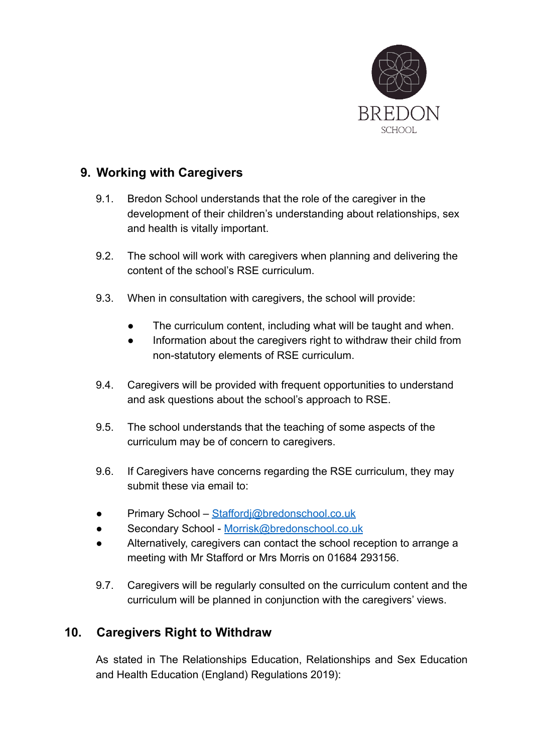

## <span id="page-28-0"></span>**9. Working with Caregivers**

- 9.1. Bredon School understands that the role of the caregiver in the development of their children's understanding about relationships, sex and health is vitally important.
- 9.2. The school will work with caregivers when planning and delivering the content of the school's RSE curriculum.
- 9.3. When in consultation with caregivers, the school will provide:
	- The curriculum content, including what will be taught and when.
	- Information about the caregivers right to withdraw their child from non-statutory elements of RSE curriculum.
- 9.4. Caregivers will be provided with frequent opportunities to understand and ask questions about the school's approach to RSE.
- 9.5. The school understands that the teaching of some aspects of the curriculum may be of concern to caregivers.
- 9.6. If Caregivers have concerns regarding the RSE curriculum, they may submit these via email to:
- Primary School [Staffordj@bredonschool.co.uk](mailto:Staffordj@bredonschool.co.uk)
- Secondary School [Morrisk@bredonschool.co.uk](mailto:Morrisk@bredonschool.co.uk)
- Alternatively, caregivers can contact the school reception to arrange a meeting with Mr Stafford or Mrs Morris on 01684 293156.
- 9.7. Caregivers will be regularly consulted on the curriculum content and the curriculum will be planned in conjunction with the caregivers' views.

## <span id="page-28-1"></span>**10. Caregivers Right to Withdraw**

As stated in The Relationships Education, Relationships and Sex Education and Health Education (England) Regulations 2019):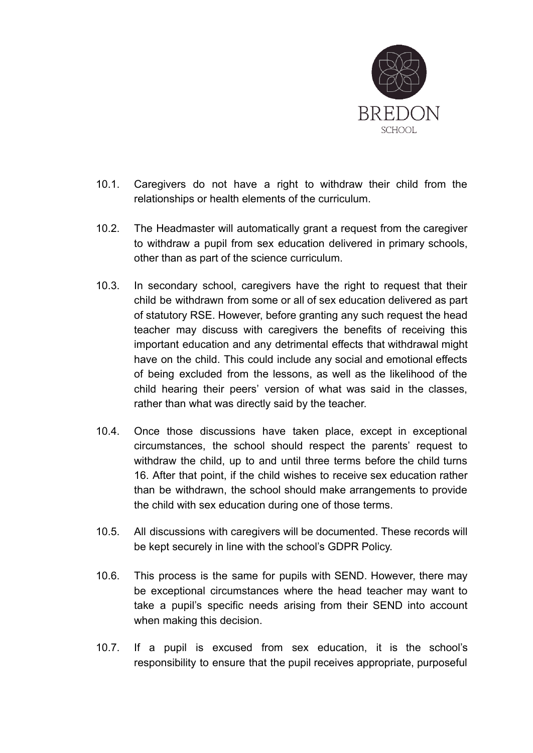

- 10.1. Caregivers do not have a right to withdraw their child from the relationships or health elements of the curriculum.
- 10.2. The Headmaster will automatically grant a request from the caregiver to withdraw a pupil from sex education delivered in primary schools, other than as part of the science curriculum.
- 10.3. In secondary school, caregivers have the right to request that their child be withdrawn from some or all of sex education delivered as part of statutory RSE. However, before granting any such request the head teacher may discuss with caregivers the benefits of receiving this important education and any detrimental effects that withdrawal might have on the child. This could include any social and emotional effects of being excluded from the lessons, as well as the likelihood of the child hearing their peers' version of what was said in the classes, rather than what was directly said by the teacher.
- 10.4. Once those discussions have taken place, except in exceptional circumstances, the school should respect the parents' request to withdraw the child, up to and until three terms before the child turns 16. After that point, if the child wishes to receive sex education rather than be withdrawn, the school should make arrangements to provide the child with sex education during one of those terms.
- 10.5. All discussions with caregivers will be documented. These records will be kept securely in line with the school's GDPR Policy.
- 10.6. This process is the same for pupils with SEND. However, there may be exceptional circumstances where the head teacher may want to take a pupil's specific needs arising from their SEND into account when making this decision.
- 10.7. If a pupil is excused from sex education, it is the school's responsibility to ensure that the pupil receives appropriate, purposeful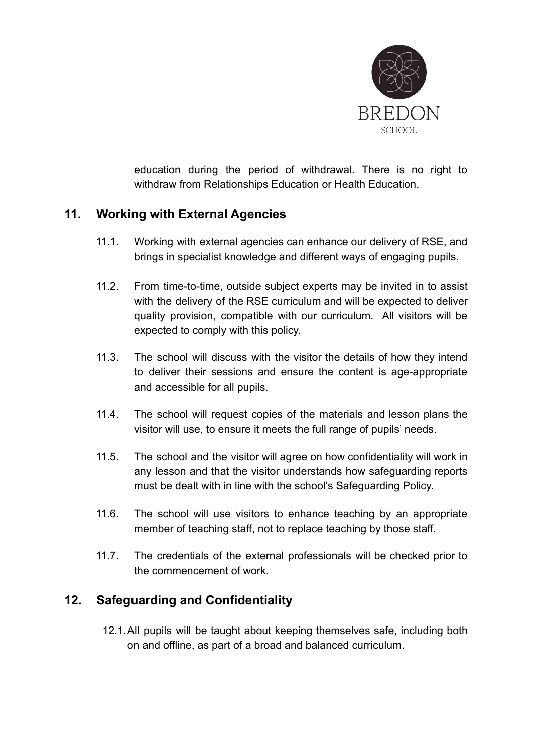

education during the period of withdrawal. There is no right to withdraw from Relationships Education or Health Education.

## <span id="page-30-0"></span>**11. Working with External Agencies**

- 11.1. Working with external agencies can enhance our delivery of RSE, and brings in specialist knowledge and different ways of engaging pupils.
- 11.2. From time-to-time, outside subject experts may be invited in to assist with the delivery of the RSE curriculum and will be expected to deliver quality provision, compatible with our curriculum. All visitors will be expected to comply with this policy.
- 11.3. The school will discuss with the visitor the details of how they intend to deliver their sessions and ensure the content is age-appropriate and accessible for all pupils.
- 11.4. The school will request copies of the materials and lesson plans the visitor will use, to ensure it meets the full range of pupils' needs.
- 11.5. The school and the visitor will agree on how confidentiality will work in any lesson and that the visitor understands how safeguarding reports must be dealt with in line with the school's Safeguarding Policy.
- 11.6. The school will use visitors to enhance teaching by an appropriate member of teaching staff, not to replace teaching by those staff.
- 11.7. The credentials of the external professionals will be checked prior to the commencement of work.

## <span id="page-30-1"></span>**12. Safeguarding and Confidentiality**

12.1.All pupils will be taught about keeping themselves safe, including both on and offline, as part of a broad and balanced curriculum.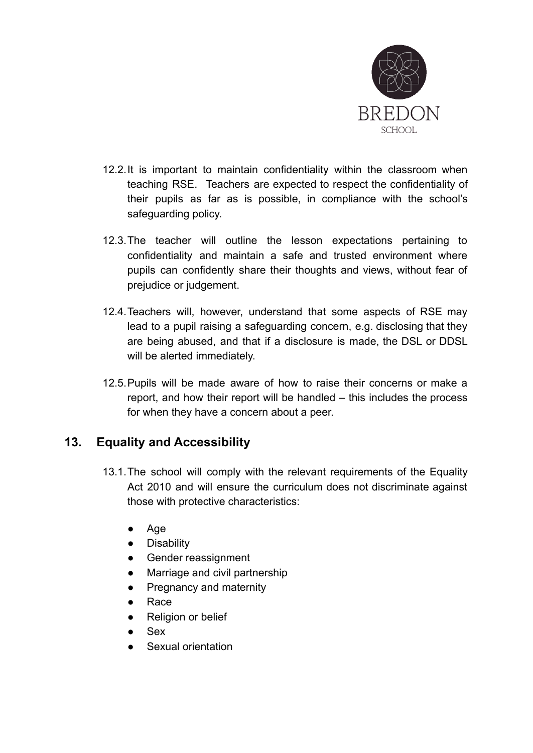

- 12.2.It is important to maintain confidentiality within the classroom when teaching RSE. Teachers are expected to respect the confidentiality of their pupils as far as is possible, in compliance with the school's safeguarding policy.
- 12.3.The teacher will outline the lesson expectations pertaining to confidentiality and maintain a safe and trusted environment where pupils can confidently share their thoughts and views, without fear of prejudice or judgement.
- 12.4.Teachers will, however, understand that some aspects of RSE may lead to a pupil raising a safeguarding concern, e.g. disclosing that they are being abused, and that if a disclosure is made, the DSL or DDSL will be alerted immediately.
- 12.5.Pupils will be made aware of how to raise their concerns or make a report, and how their report will be handled – this includes the process for when they have a concern about a peer.

## <span id="page-31-0"></span>**13. Equality and Accessibility**

- 13.1.The school will comply with the relevant requirements of the Equality Act 2010 and will ensure the curriculum does not discriminate against those with protective characteristics:
	- Age
	- Disability
	- Gender reassignment
	- Marriage and civil partnership
	- Pregnancy and maternity
	- Race
	- Religion or belief
	- **Sex**
	- Sexual orientation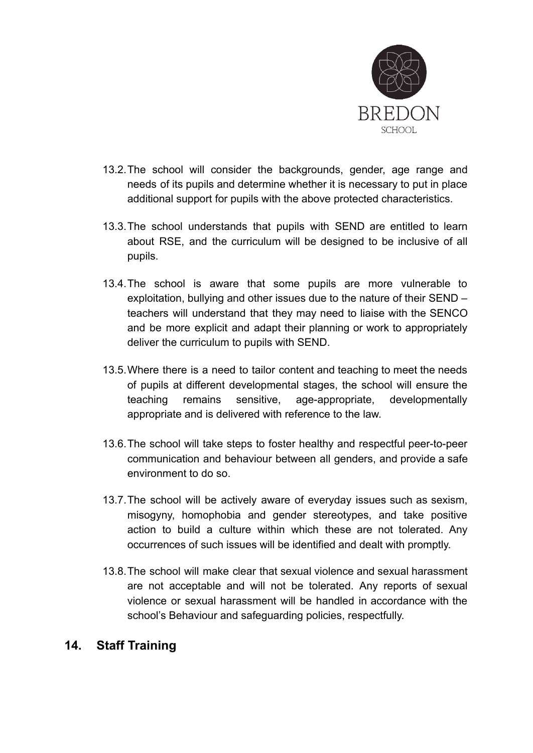

- 13.2.The school will consider the backgrounds, gender, age range and needs of its pupils and determine whether it is necessary to put in place additional support for pupils with the above protected characteristics.
- 13.3.The school understands that pupils with SEND are entitled to learn about RSE, and the curriculum will be designed to be inclusive of all pupils.
- 13.4.The school is aware that some pupils are more vulnerable to exploitation, bullying and other issues due to the nature of their SEND – teachers will understand that they may need to liaise with the SENCO and be more explicit and adapt their planning or work to appropriately deliver the curriculum to pupils with SEND.
- 13.5.Where there is a need to tailor content and teaching to meet the needs of pupils at different developmental stages, the school will ensure the teaching remains sensitive, age-appropriate, developmentally appropriate and is delivered with reference to the law.
- 13.6.The school will take steps to foster healthy and respectful peer-to-peer communication and behaviour between all genders, and provide a safe environment to do so.
- 13.7.The school will be actively aware of everyday issues such as sexism, misogyny, homophobia and gender stereotypes, and take positive action to build a culture within which these are not tolerated. Any occurrences of such issues will be identified and dealt with promptly.
- 13.8.The school will make clear that sexual violence and sexual harassment are not acceptable and will not be tolerated. Any reports of sexual violence or sexual harassment will be handled in accordance with the school's Behaviour and safeguarding policies, respectfully.

## <span id="page-32-0"></span>**14. Staff Training**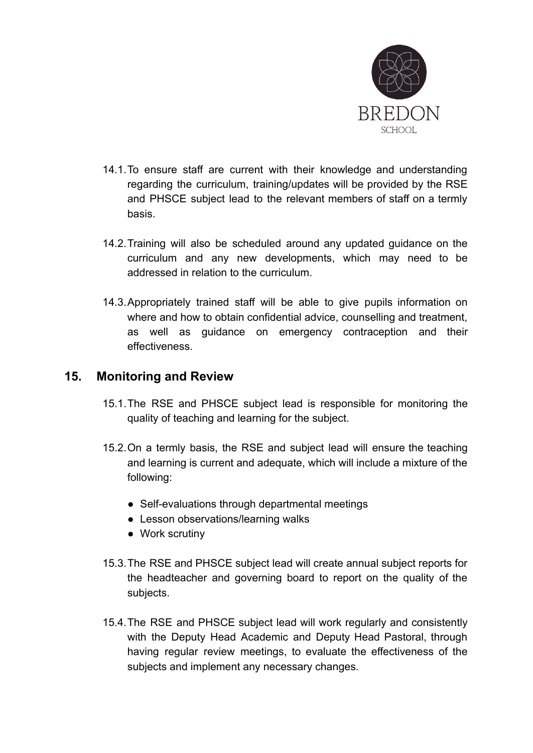

- 14.1.To ensure staff are current with their knowledge and understanding regarding the curriculum, training/updates will be provided by the RSE and PHSCE subject lead to the relevant members of staff on a termly basis.
- 14.2.Training will also be scheduled around any updated guidance on the curriculum and any new developments, which may need to be addressed in relation to the curriculum.
- 14.3.Appropriately trained staff will be able to give pupils information on where and how to obtain confidential advice, counselling and treatment, as well as guidance on emergency contraception and their effectiveness.

## <span id="page-33-0"></span>**15. Monitoring and Review**

- 15.1.The RSE and PHSCE subject lead is responsible for monitoring the quality of teaching and learning for the subject.
- 15.2.On a termly basis, the RSE and subject lead will ensure the teaching and learning is current and adequate, which will include a mixture of the following:
	- Self-evaluations through departmental meetings
	- Lesson observations/learning walks
	- Work scrutiny
- 15.3.The RSE and PHSCE subject lead will create annual subject reports for the headteacher and governing board to report on the quality of the subjects.
- 15.4.The RSE and PHSCE subject lead will work regularly and consistently with the Deputy Head Academic and Deputy Head Pastoral, through having regular review meetings, to evaluate the effectiveness of the subjects and implement any necessary changes.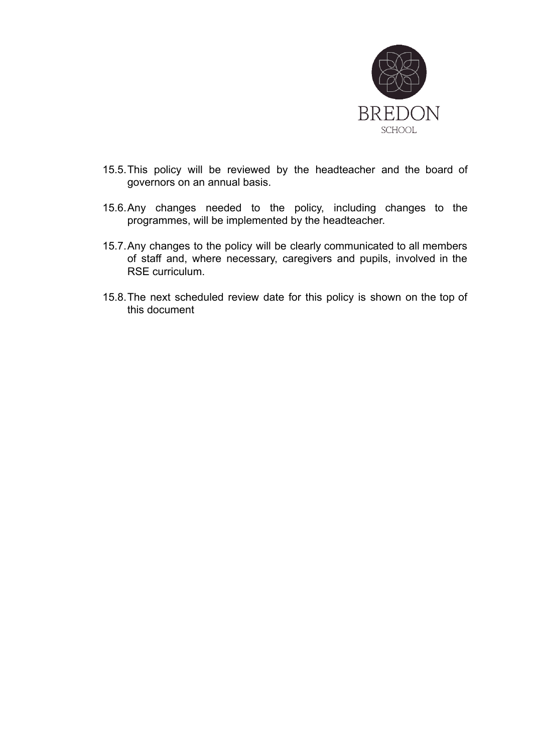

- 15.5.This policy will be reviewed by the headteacher and the board of governors on an annual basis.
- 15.6.Any changes needed to the policy, including changes to the programmes, will be implemented by the headteacher.
- 15.7.Any changes to the policy will be clearly communicated to all members of staff and, where necessary, caregivers and pupils, involved in the RSE curriculum.
- 15.8.The next scheduled review date for this policy is shown on the top of this document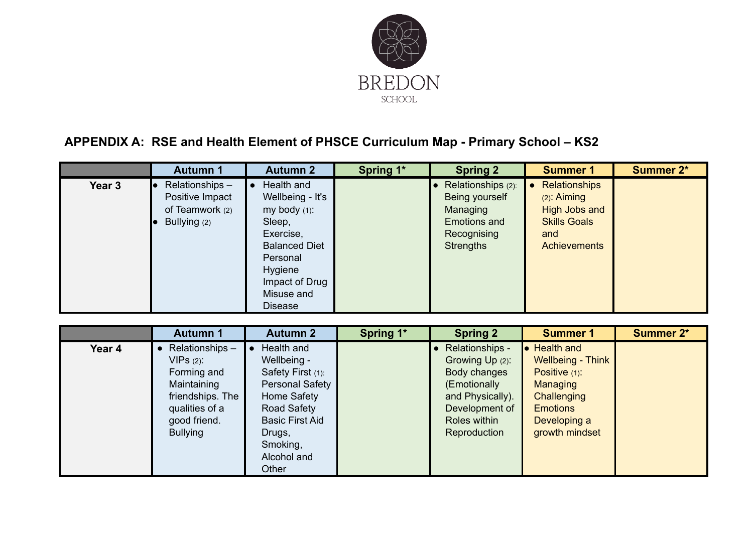

# **APPENDIX A: RSE and Health Element of PHSCE Curriculum Map - Primary School – KS2**

|        | <b>Autumn 1</b>                                                      | <b>Autumn 2</b>                                                                                                                                                        | Spring 1* | <b>Spring 2</b>                                                                                     | <b>Summer 1</b>                                                                                                    | <b>Summer 2*</b> |
|--------|----------------------------------------------------------------------|------------------------------------------------------------------------------------------------------------------------------------------------------------------------|-----------|-----------------------------------------------------------------------------------------------------|--------------------------------------------------------------------------------------------------------------------|------------------|
| Year 3 | Relationships-<br>Positive Impact<br>of Teamwork (2)<br>Bullying (2) | Health and<br>Wellbeing - It's<br>my body (1):<br>Sleep,<br>Exercise,<br><b>Balanced Diet</b><br>Personal<br>Hygiene<br>Impact of Drug<br>Misuse and<br><b>Disease</b> |           | Relationships (2):<br>Being yourself<br>Managing<br>Emotions and<br>Recognising<br><b>Strengths</b> | Relationships<br>$\bullet$<br>$(2)$ : Aiming<br>High Jobs and<br><b>Skills Goals</b><br>and<br><b>Achievements</b> |                  |

<span id="page-35-0"></span>

|                                                                         | <b>Autumn 2</b><br><b>Autumn 1</b>                                                                                                                                                                                                                          | Spring 1* | <b>Spring 2</b>                                                                                                                          | <b>Summer 1</b>                                                                                                                                              | <b>Summer 2*</b> |
|-------------------------------------------------------------------------|-------------------------------------------------------------------------------------------------------------------------------------------------------------------------------------------------------------------------------------------------------------|-----------|------------------------------------------------------------------------------------------------------------------------------------------|--------------------------------------------------------------------------------------------------------------------------------------------------------------|------------------|
| Year 4<br>$VIPS(2)$ :<br>Maintaining<br>good friend.<br><b>Bullying</b> | Relationships-<br>Health and<br>$\bullet$<br>Wellbeing -<br>Forming and<br>Safety First (1):<br>Personal Safety<br>Home Safety<br>friendships. The<br>qualities of a<br>Road Safety<br><b>Basic First Aid</b><br>Drugs,<br>Smoking,<br>Alcohol and<br>Other |           | Relationships -<br>Growing Up (2):<br>Body changes<br>(Emotionally<br>and Physically).<br>Development of<br>Roles within<br>Reproduction | <b>Health and</b><br>lo:<br><b>Wellbeing - Think</b><br>Positive (1):<br><b>Managing</b><br>Challenging<br><b>Emotions</b><br>Developing a<br>growth mindset |                  |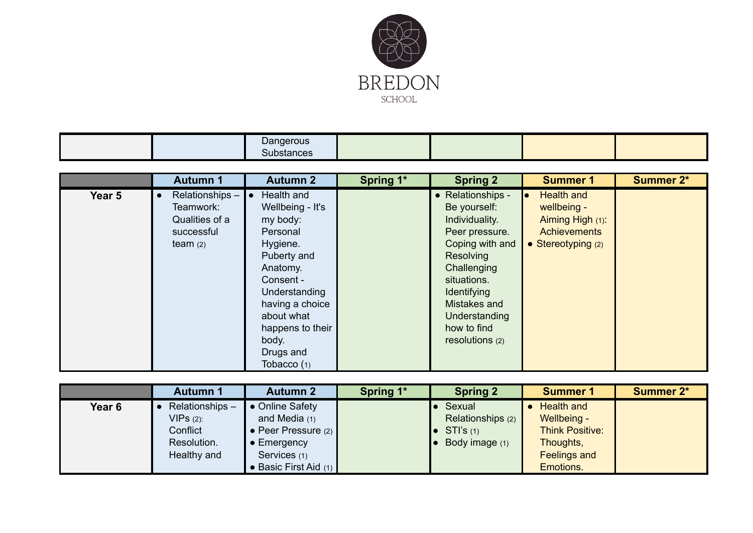

|  | Dangerous<br>Substances |  |  |
|--|-------------------------|--|--|
|  |                         |  |  |

|        | <b>Autumn 1</b>                                                                        | <b>Autumn 2</b>                                                                                                                                                                                                         | Spring 1* | <b>Spring 2</b>                                                                                                                                                                                                              | <b>Summer 1</b>                                                                                     | <b>Summer 2*</b> |
|--------|----------------------------------------------------------------------------------------|-------------------------------------------------------------------------------------------------------------------------------------------------------------------------------------------------------------------------|-----------|------------------------------------------------------------------------------------------------------------------------------------------------------------------------------------------------------------------------------|-----------------------------------------------------------------------------------------------------|------------------|
| Year 5 | Relationships-<br>$\bullet$<br>Teamwork:<br>Qualities of a<br>successful<br>team $(2)$ | Health and<br>Wellbeing - It's<br>my body:<br>Personal<br>Hygiene.<br>Puberty and<br>Anatomy.<br>Consent -<br>Understanding<br>having a choice<br>about what<br>happens to their<br>body.<br>Drugs and<br>Tobacco $(1)$ |           | • Relationships -<br>Be yourself:<br>Individuality.<br>Peer pressure.<br>Coping with and<br><b>Resolving</b><br>Challenging<br>situations.<br>Identifying<br>Mistakes and<br>Understanding<br>how to find<br>resolutions (2) | <b>Health and</b><br>wellbeing -<br>Aiming High (1):<br><b>Achievements</b><br>• Stereotyping $(2)$ |                  |

|        | <b>Autumn 1</b> | <b>Autumn 2</b>       | Spring 1* | <b>Spring 2</b>     | <b>Summer 1</b>        | <b>Summer 2*</b> |
|--------|-----------------|-----------------------|-----------|---------------------|------------------------|------------------|
| Year 6 | Relationships-  | • Online Safety       |           | Sexual              | <b>Health and</b>      |                  |
|        | $VIPs(2)$ :     | and Media $(1)$       |           | Relationships (2)   | Wellbeing -            |                  |
|        | Confiict        | • Peer Pressure $(2)$ |           | $\bullet$ STI's (1) | <b>Think Positive:</b> |                  |
|        | Resolution.     | $\bullet$ Emergency   |           | Body image (1)      | Thoughts,              |                  |
|        | Healthy and     | Services (1)          |           |                     | <b>Feelings and</b>    |                  |
|        |                 | • Basic First Aid (1) |           |                     | Emotions.              |                  |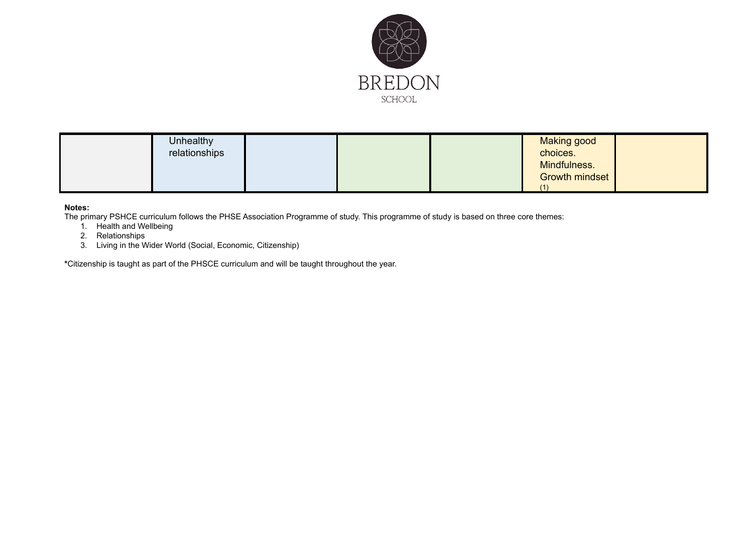

| <b>Unhealthy</b><br>relationships |  |  | <b>Making good</b><br>choices.<br>Mindfulness.<br>Growth mindset<br>$\sqrt{1}$ |  |
|-----------------------------------|--|--|--------------------------------------------------------------------------------|--|
|-----------------------------------|--|--|--------------------------------------------------------------------------------|--|

#### **Notes:**

The primary PSHCE curriculum follows the PHSE Association Programme of study. This programme of study is based on three core themes:

- 1. Health and Wellbeing
- 2. Relationships
- 3. Living in the Wider World (Social, Economic, Citizenship)

**\***Citizenship is taught as part of the PHSCE curriculum and will be taught throughout the year.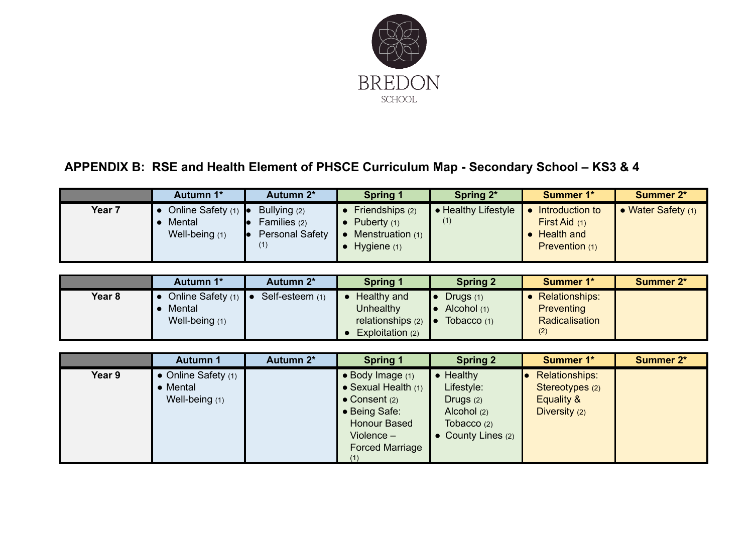

# **APPENDIX B: RSE and Health Element of PHSCE Curriculum Map - Secondary School – KS3 & 4**

|        | Autumn 1*           | Autumn 2*              | <b>Spring 1</b>  | Spring 2*           | <b>Summer 1*</b> | <b>Summer 2*</b>     |
|--------|---------------------|------------------------|------------------|---------------------|------------------|----------------------|
| Year 7 | Online Safety $(1)$ | Bullying (2)           | Friendships (2)  | • Healthy Lifestyle | Introduction to  | • Water Safety $(1)$ |
|        | Mental              | Families $(2)$         | Puberty $(1)$    | (1)                 | First Aid $(1)$  |                      |
|        | Well-being (1)      | <b>Personal Safety</b> | Menstruation (1) |                     | • Health and     |                      |
|        |                     | (1)                    | Hygiene $(1)$    |                     | Prevention (1)   |                      |
|        |                     |                        |                  |                     |                  |                      |

|        | Autumn 1*                     | Autumn 2*       | <b>Spring 1</b>               | <b>Spring 2</b> | <b>Summer 1*</b>      | Summer 2* |
|--------|-------------------------------|-----------------|-------------------------------|-----------------|-----------------------|-----------|
| Year 8 | Online Safety $(1)$ $\bullet$ | Self-esteem (1) | Healthy and                   | Drugs $(1)$     | <b>Relationships:</b> |           |
|        | Mental                        |                 | <b>Unhealthy</b>              | Alcohol (1)     | Preventing            |           |
|        | Well-being (1)                |                 | relationships $(2)$ $\bullet$ | Tobacco $(1)$   | Radicalisation        |           |
|        |                               |                 | Exploitation (2)              |                 | (2)                   |           |

<span id="page-38-0"></span>

|        | <b>Autumn 1</b>                                           | Autumn 2* | <b>Spring 1</b>                                                                                                                                                        | <b>Spring 2</b>                                                                              | <b>Summer 1*</b>                                                 | <b>Summer 2*</b> |
|--------|-----------------------------------------------------------|-----------|------------------------------------------------------------------------------------------------------------------------------------------------------------------------|----------------------------------------------------------------------------------------------|------------------------------------------------------------------|------------------|
| Year 9 | $\bullet$ Online Safety $(1)$<br>Mental<br>Well-being (1) |           | $\bullet$ Body Image $(1)$<br>$\bullet$ Sexual Health $(1)$<br>$\bullet$ Consent (2)<br>• Being Safe:<br><b>Honour Based</b><br>Violence $-$<br><b>Forced Marriage</b> | Healthy<br>Lifestyle:<br>Drugs $(2)$<br>Alcohol (2)<br>Tobacco $(2)$<br>• County Lines $(2)$ | Relationships:<br>Stereotypes (2)<br>Equality &<br>Diversity (2) |                  |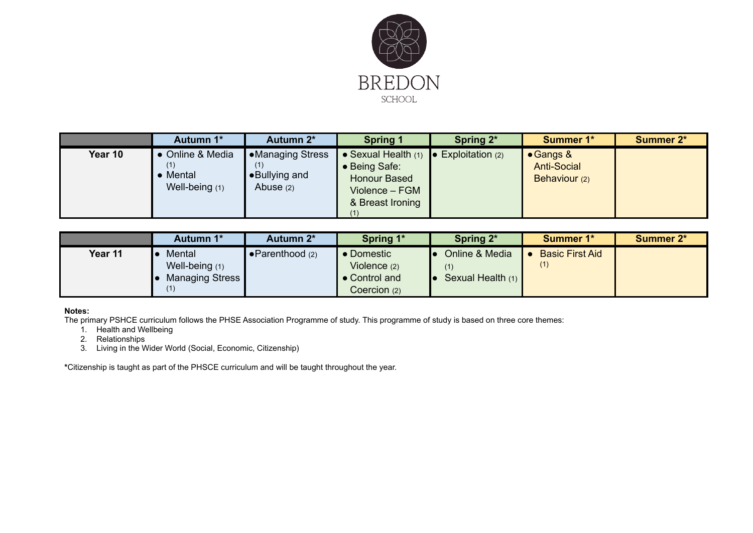

|         | Autumn 1*                                             | Autumn 2*                                        | <b>Spring 1</b>                                                                                               | Spring 2*          | <b>Summer 1*</b>                                         | <b>Summer 2*</b> |
|---------|-------------------------------------------------------|--------------------------------------------------|---------------------------------------------------------------------------------------------------------------|--------------------|----------------------------------------------------------|------------------|
| Year 10 | • Online & Media<br>(1)<br>Mental<br>Well-being $(1)$ | Nanaging Stress●<br>•Bullying and<br>Abuse $(2)$ | • Sexual Health $(1)$ $\bullet$<br>• Being Safe:<br><b>Honour Based</b><br>Violence - FGM<br>& Breast Ironing | Exploitation $(2)$ | $\bullet$ Gangs &<br><b>Anti-Social</b><br>Behaviour (2) |                  |

|         | Autumn 1*        | Autumn 2*                | Spring 1*      | Spring 2*         | <b>Summer 1*</b>       | <b>Summer 2*</b> |
|---------|------------------|--------------------------|----------------|-------------------|------------------------|------------------|
| Year 11 | Mental           | $\bullet$ Parenthood (2) | • Domestic     | Online & Media    | <b>Basic First Aid</b> |                  |
|         | Well-being $(1)$ |                          | Violence $(2)$ |                   | (1)                    |                  |
|         | Managing Stress  |                          | • Control and  | Sexual Health (1) |                        |                  |
|         |                  |                          | Coercion (2)   |                   |                        |                  |

#### **Notes:**

The primary PSHCE curriculum follows the PHSE Association Programme of study. This programme of study is based on three core themes:

- 1. Health and Wellbeing
- 2. Relationships
- 3. Living in the Wider World (Social, Economic, Citizenship)

**\***Citizenship is taught as part of the PHSCE curriculum and will be taught throughout the year.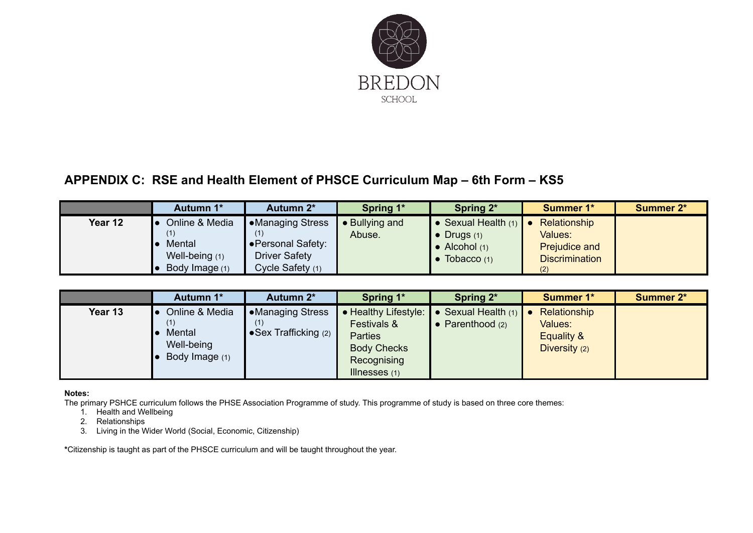

## **APPENDIX C: RSE and Health Element of PHSCE Curriculum Map – 6th Form – KS5**

|         | Autumn 1*                                                    | Autumn 2*                                                                                | Spring 1*                | Spring 2*                                                                              | <b>Summer 1*</b>                                                                | <b>Summer 2*</b> |
|---------|--------------------------------------------------------------|------------------------------------------------------------------------------------------|--------------------------|----------------------------------------------------------------------------------------|---------------------------------------------------------------------------------|------------------|
| Year 12 | Online & Media<br>Mental<br>Well-being (1)<br>Body Image (1) | <b>Managing Stress</b><br>• Personal Safety:<br><b>Driver Safety</b><br>Cycle Safety (1) | • Bullying and<br>Abuse. | • Sexual Health $(1)$<br>$\bullet$ Drugs (1)<br>$\bullet$ Alcohol (1)<br>Tobacco $(1)$ | Relationship<br>Values:<br><b>Prejudice and</b><br><b>Discrimination</b><br>(2) |                  |

|         | Autumn 1*                                                       | Autumn 2*                                                  | Spring 1*                                                                                                     | Spring 2*                                     | <b>Summer 1*</b>                                       | <b>Summer 2*</b> |
|---------|-----------------------------------------------------------------|------------------------------------------------------------|---------------------------------------------------------------------------------------------------------------|-----------------------------------------------|--------------------------------------------------------|------------------|
| Year 13 | Online & Media<br>(1)<br>Mental<br>Well-being<br>Body Image (1) | •Managing Stress<br>(1)<br>$\bullet$ Sex Trafficking $(2)$ | • Healthy Lifestyle:<br>Festivals &<br><b>Parties</b><br><b>Body Checks</b><br>Recognising<br>Illnesses $(1)$ | Sexual Health (1)<br>$\bullet$ Parenthood (2) | Relationship<br>Values:<br>Equality &<br>Diversity (2) |                  |

<span id="page-40-0"></span>**Notes:**

The primary PSHCE curriculum follows the PHSE Association Programme of study. This programme of study is based on three core themes:

1. Health and Wellbeing

2. Relationships

3. Living in the Wider World (Social, Economic, Citizenship)

**\***Citizenship is taught as part of the PHSCE curriculum and will be taught throughout the year.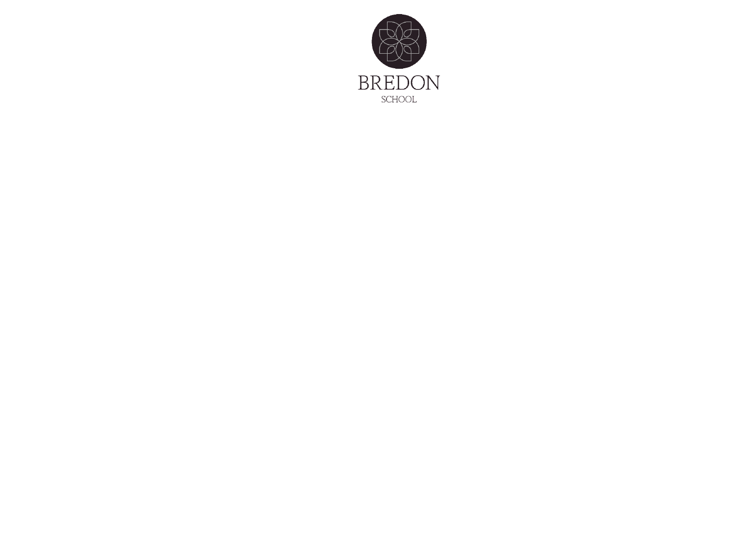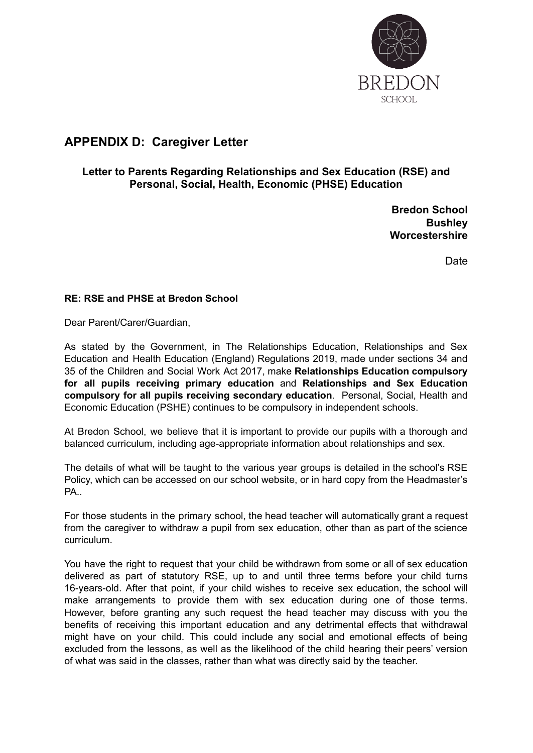

## <span id="page-42-0"></span>**APPENDIX D: Caregiver Letter**

#### **Letter to Parents Regarding Relationships and Sex Education (RSE) and Personal, Social, Health, Economic (PHSE) Education**

**Bredon School Bushley Worcestershire**

Date

#### **RE: RSE and PHSE at Bredon School**

Dear Parent/Carer/Guardian,

As stated by the Government, in The Relationships Education, Relationships and Sex Education and Health Education (England) Regulations 2019, made under sections 34 and 35 of the Children and Social Work Act 2017, make **Relationships Education compulsory for all pupils receiving primary education** and **Relationships and Sex Education compulsory for all pupils receiving secondary education**. Personal, Social, Health and Economic Education (PSHE) continues to be compulsory in independent schools.

At Bredon School, we believe that it is important to provide our pupils with a thorough and balanced curriculum, including age-appropriate information about relationships and sex.

The details of what will be taught to the various year groups is detailed in the school's RSE Policy, which can be accessed on our school website, or in hard copy from the Headmaster's PA..

For those students in the primary school, the head teacher will automatically grant a request from the caregiver to withdraw a pupil from sex education, other than as part of the science curriculum.

You have the right to request that your child be withdrawn from some or all of sex education delivered as part of statutory RSE, up to and until three terms before your child turns 16-years-old. After that point, if your child wishes to receive sex education, the school will make arrangements to provide them with sex education during one of those terms. However, before granting any such request the head teacher may discuss with you the benefits of receiving this important education and any detrimental effects that withdrawal might have on your child. This could include any social and emotional effects of being excluded from the lessons, as well as the likelihood of the child hearing their peers' version of what was said in the classes, rather than what was directly said by the teacher.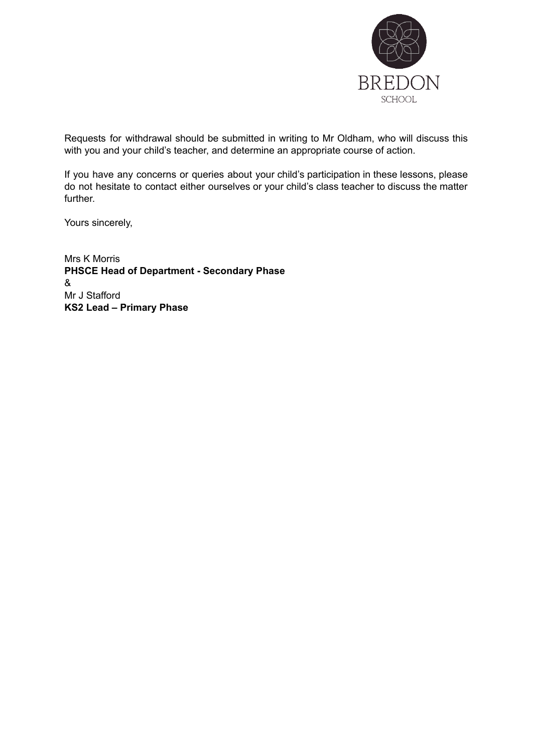

Requests for withdrawal should be submitted in writing to Mr Oldham, who will discuss this with you and your child's teacher, and determine an appropriate course of action.

If you have any concerns or queries about your child's participation in these lessons, please do not hesitate to contact either ourselves or your child's class teacher to discuss the matter further.

Yours sincerely,

<span id="page-43-0"></span>Mrs K Morris **PHSCE Head of Department - Secondary Phase** & Mr J Stafford **KS2 Lead – Primary Phase**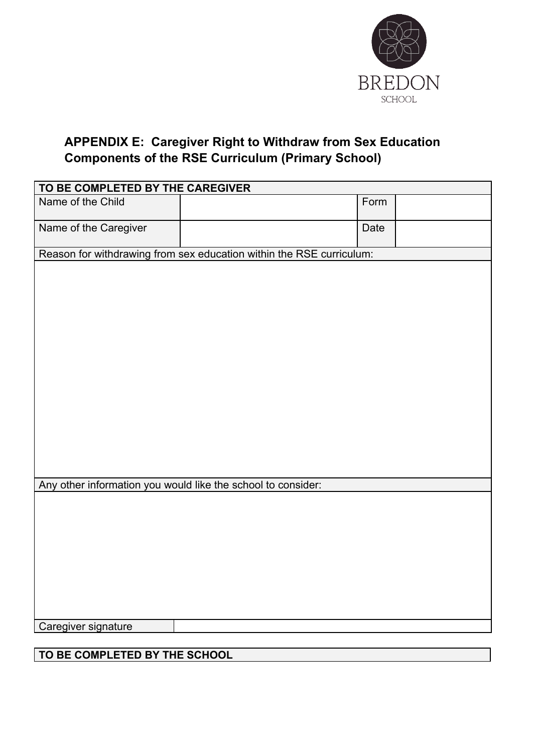

## **APPENDIX E: Caregiver Right to Withdraw from Sex Education Components of the RSE Curriculum (Primary School)**

| TO BE COMPLETED BY THE CAREGIVER |                                                                      |      |  |  |
|----------------------------------|----------------------------------------------------------------------|------|--|--|
| Name of the Child                |                                                                      | Form |  |  |
| Name of the Caregiver            |                                                                      | Date |  |  |
|                                  | Reason for withdrawing from sex education within the RSE curriculum: |      |  |  |
|                                  |                                                                      |      |  |  |
|                                  |                                                                      |      |  |  |
|                                  |                                                                      |      |  |  |
|                                  |                                                                      |      |  |  |
|                                  |                                                                      |      |  |  |
|                                  |                                                                      |      |  |  |
|                                  |                                                                      |      |  |  |
|                                  |                                                                      |      |  |  |
|                                  |                                                                      |      |  |  |
|                                  |                                                                      |      |  |  |
|                                  |                                                                      |      |  |  |
|                                  |                                                                      |      |  |  |
|                                  |                                                                      |      |  |  |
|                                  | Any other information you would like the school to consider:         |      |  |  |
|                                  |                                                                      |      |  |  |
|                                  |                                                                      |      |  |  |
|                                  |                                                                      |      |  |  |
|                                  |                                                                      |      |  |  |
|                                  |                                                                      |      |  |  |
|                                  |                                                                      |      |  |  |
|                                  |                                                                      |      |  |  |
| Caregiver signature              |                                                                      |      |  |  |
|                                  |                                                                      |      |  |  |
| TO BE COMPLETED BY THE SCHOOL    |                                                                      |      |  |  |